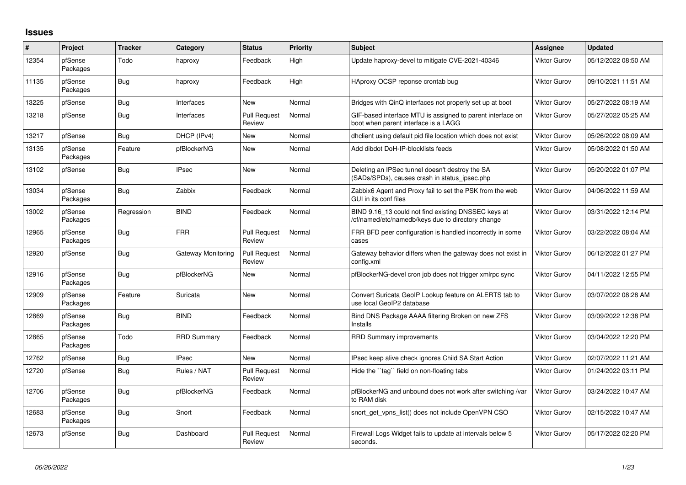## **Issues**

| #     | Project             | <b>Tracker</b> | Category           | <b>Status</b>                 | Priority | <b>Subject</b>                                                                                           | Assignee            | <b>Updated</b>      |
|-------|---------------------|----------------|--------------------|-------------------------------|----------|----------------------------------------------------------------------------------------------------------|---------------------|---------------------|
| 12354 | pfSense<br>Packages | Todo           | haproxy            | Feedback                      | High     | Update haproxy-devel to mitigate CVE-2021-40346                                                          | <b>Viktor Gurov</b> | 05/12/2022 08:50 AM |
| 11135 | pfSense<br>Packages | <b>Bug</b>     | haproxy            | Feedback                      | High     | HAproxy OCSP reponse crontab bug                                                                         | <b>Viktor Gurov</b> | 09/10/2021 11:51 AM |
| 13225 | pfSense             | <b>Bug</b>     | Interfaces         | <b>New</b>                    | Normal   | Bridges with QinQ interfaces not properly set up at boot                                                 | <b>Viktor Gurov</b> | 05/27/2022 08:19 AM |
| 13218 | pfSense             | <b>Bug</b>     | Interfaces         | <b>Pull Request</b><br>Review | Normal   | GIF-based interface MTU is assigned to parent interface on<br>boot when parent interface is a LAGG       | <b>Viktor Gurov</b> | 05/27/2022 05:25 AM |
| 13217 | pfSense             | <b>Bug</b>     | DHCP (IPv4)        | <b>New</b>                    | Normal   | dhclient using default pid file location which does not exist                                            | <b>Viktor Gurov</b> | 05/26/2022 08:09 AM |
| 13135 | pfSense<br>Packages | Feature        | pfBlockerNG        | <b>New</b>                    | Normal   | Add dibdot DoH-IP-blocklists feeds                                                                       | <b>Viktor Gurov</b> | 05/08/2022 01:50 AM |
| 13102 | pfSense             | <b>Bug</b>     | <b>IPsec</b>       | <b>New</b>                    | Normal   | Deleting an IPSec tunnel doesn't destroy the SA<br>(SADs/SPDs), causes crash in status ipsec.php         | <b>Viktor Gurov</b> | 05/20/2022 01:07 PM |
| 13034 | pfSense<br>Packages | <b>Bug</b>     | Zabbix             | Feedback                      | Normal   | Zabbix6 Agent and Proxy fail to set the PSK from the web<br>GUI in its conf files                        | <b>Viktor Gurov</b> | 04/06/2022 11:59 AM |
| 13002 | pfSense<br>Packages | Regression     | <b>BIND</b>        | Feedback                      | Normal   | BIND 9.16_13 could not find existing DNSSEC keys at<br>/cf/named/etc/namedb/keys due to directory change | <b>Viktor Gurov</b> | 03/31/2022 12:14 PM |
| 12965 | pfSense<br>Packages | <b>Bug</b>     | <b>FRR</b>         | <b>Pull Request</b><br>Review | Normal   | FRR BFD peer configuration is handled incorrectly in some<br>cases                                       | <b>Viktor Gurov</b> | 03/22/2022 08:04 AM |
| 12920 | pfSense             | <b>Bug</b>     | Gateway Monitoring | <b>Pull Request</b><br>Review | Normal   | Gateway behavior differs when the gateway does not exist in<br>config.xml                                | <b>Viktor Gurov</b> | 06/12/2022 01:27 PM |
| 12916 | pfSense<br>Packages | <b>Bug</b>     | pfBlockerNG        | New                           | Normal   | pfBlockerNG-devel cron job does not trigger xmlrpc sync                                                  | <b>Viktor Gurov</b> | 04/11/2022 12:55 PM |
| 12909 | pfSense<br>Packages | Feature        | Suricata           | <b>New</b>                    | Normal   | Convert Suricata GeoIP Lookup feature on ALERTS tab to<br>use local GeoIP2 database                      | <b>Viktor Gurov</b> | 03/07/2022 08:28 AM |
| 12869 | pfSense<br>Packages | <b>Bug</b>     | <b>BIND</b>        | Feedback                      | Normal   | Bind DNS Package AAAA filtering Broken on new ZFS<br>Installs                                            | <b>Viktor Gurov</b> | 03/09/2022 12:38 PM |
| 12865 | pfSense<br>Packages | Todo           | <b>RRD Summary</b> | Feedback                      | Normal   | <b>RRD Summary improvements</b>                                                                          | <b>Viktor Gurov</b> | 03/04/2022 12:20 PM |
| 12762 | pfSense             | <b>Bug</b>     | <b>IPsec</b>       | <b>New</b>                    | Normal   | IPsec keep alive check ignores Child SA Start Action                                                     | <b>Viktor Gurov</b> | 02/07/2022 11:21 AM |
| 12720 | pfSense             | Bug            | Rules / NAT        | <b>Pull Request</b><br>Review | Normal   | Hide the "tag" field on non-floating tabs                                                                | <b>Viktor Gurov</b> | 01/24/2022 03:11 PM |
| 12706 | pfSense<br>Packages | <b>Bug</b>     | pfBlockerNG        | Feedback                      | Normal   | pfBlockerNG and unbound does not work after switching /var<br>to RAM disk                                | <b>Viktor Gurov</b> | 03/24/2022 10:47 AM |
| 12683 | pfSense<br>Packages | <b>Bug</b>     | Snort              | Feedback                      | Normal   | snort get vpns list() does not include OpenVPN CSO                                                       | <b>Viktor Gurov</b> | 02/15/2022 10:47 AM |
| 12673 | pfSense             | <b>Bug</b>     | Dashboard          | <b>Pull Request</b><br>Review | Normal   | Firewall Logs Widget fails to update at intervals below 5<br>seconds.                                    | <b>Viktor Gurov</b> | 05/17/2022 02:20 PM |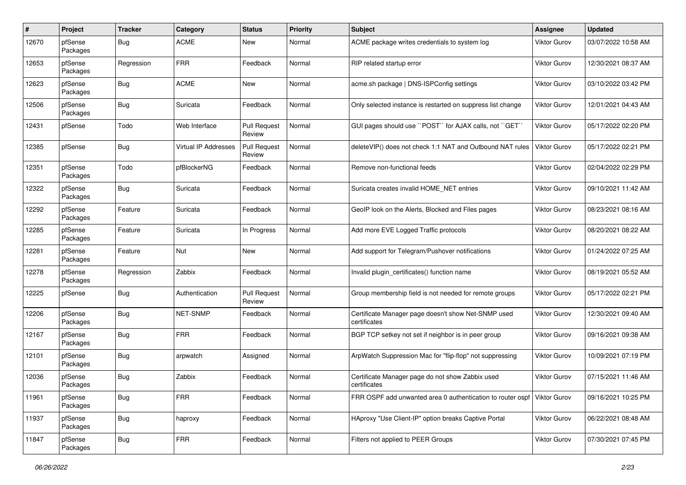| #     | Project             | <b>Tracker</b> | Category             | <b>Status</b>                 | <b>Priority</b> | <b>Subject</b>                                                      | Assignee            | <b>Updated</b>      |
|-------|---------------------|----------------|----------------------|-------------------------------|-----------------|---------------------------------------------------------------------|---------------------|---------------------|
| 12670 | pfSense<br>Packages | <b>Bug</b>     | <b>ACME</b>          | <b>New</b>                    | Normal          | ACME package writes credentials to system log                       | Viktor Gurov        | 03/07/2022 10:58 AM |
| 12653 | pfSense<br>Packages | Regression     | <b>FRR</b>           | Feedback                      | Normal          | RIP related startup error                                           | Viktor Gurov        | 12/30/2021 08:37 AM |
| 12623 | pfSense<br>Packages | <b>Bug</b>     | <b>ACME</b>          | <b>New</b>                    | Normal          | acme.sh package   DNS-ISPConfig settings                            | Viktor Gurov        | 03/10/2022 03:42 PM |
| 12506 | pfSense<br>Packages | <b>Bug</b>     | Suricata             | Feedback                      | Normal          | Only selected instance is restarted on suppress list change         | Viktor Gurov        | 12/01/2021 04:43 AM |
| 12431 | pfSense             | Todo           | Web Interface        | <b>Pull Request</b><br>Review | Normal          | GUI pages should use "POST" for AJAX calls, not "GET"               | Viktor Gurov        | 05/17/2022 02:20 PM |
| 12385 | pfSense             | Bug            | Virtual IP Addresses | <b>Pull Request</b><br>Review | Normal          | deleteVIP() does not check 1:1 NAT and Outbound NAT rules           | <b>Viktor Gurov</b> | 05/17/2022 02:21 PM |
| 12351 | pfSense<br>Packages | Todo           | pfBlockerNG          | Feedback                      | Normal          | Remove non-functional feeds                                         | Viktor Gurov        | 02/04/2022 02:29 PM |
| 12322 | pfSense<br>Packages | <b>Bug</b>     | Suricata             | Feedback                      | Normal          | Suricata creates invalid HOME NET entries                           | <b>Viktor Gurov</b> | 09/10/2021 11:42 AM |
| 12292 | pfSense<br>Packages | Feature        | Suricata             | Feedback                      | Normal          | GeoIP look on the Alerts, Blocked and Files pages                   | Viktor Gurov        | 08/23/2021 08:16 AM |
| 12285 | pfSense<br>Packages | Feature        | Suricata             | In Progress                   | Normal          | Add more EVE Logged Traffic protocols                               | <b>Viktor Gurov</b> | 08/20/2021 08:22 AM |
| 12281 | pfSense<br>Packages | Feature        | Nut                  | New                           | Normal          | Add support for Telegram/Pushover notifications                     | Viktor Gurov        | 01/24/2022 07:25 AM |
| 12278 | pfSense<br>Packages | Regression     | Zabbix               | Feedback                      | Normal          | Invalid plugin_certificates() function name                         | <b>Viktor Gurov</b> | 08/19/2021 05:52 AM |
| 12225 | pfSense             | Bug            | Authentication       | <b>Pull Request</b><br>Review | Normal          | Group membership field is not needed for remote groups              | Viktor Gurov        | 05/17/2022 02:21 PM |
| 12206 | pfSense<br>Packages | <b>Bug</b>     | NET-SNMP             | Feedback                      | Normal          | Certificate Manager page doesn't show Net-SNMP used<br>certificates | Viktor Gurov        | 12/30/2021 09:40 AM |
| 12167 | pfSense<br>Packages | <b>Bug</b>     | <b>FRR</b>           | Feedback                      | Normal          | BGP TCP setkey not set if neighbor is in peer group                 | Viktor Gurov        | 09/16/2021 09:38 AM |
| 12101 | pfSense<br>Packages | <b>Bug</b>     | arpwatch             | Assigned                      | Normal          | ArpWatch Suppression Mac for "flip-flop" not suppressing            | Viktor Gurov        | 10/09/2021 07:19 PM |
| 12036 | pfSense<br>Packages | <b>Bug</b>     | Zabbix               | Feedback                      | Normal          | Certificate Manager page do not show Zabbix used<br>certificates    | Viktor Gurov        | 07/15/2021 11:46 AM |
| 11961 | pfSense<br>Packages | <b>Bug</b>     | <b>FRR</b>           | Feedback                      | Normal          | FRR OSPF add unwanted area 0 authentication to router ospf          | Viktor Gurov        | 09/16/2021 10:25 PM |
| 11937 | pfSense<br>Packages | <b>Bug</b>     | haproxy              | Feedback                      | Normal          | HAproxy "Use Client-IP" option breaks Captive Portal                | Viktor Gurov        | 06/22/2021 08:48 AM |
| 11847 | pfSense<br>Packages | <b>Bug</b>     | <b>FRR</b>           | Feedback                      | Normal          | Filters not applied to PEER Groups                                  | Viktor Gurov        | 07/30/2021 07:45 PM |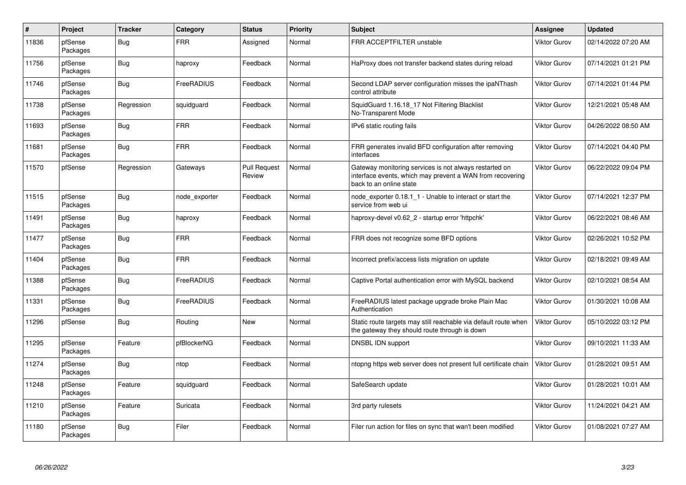| $\vert$ # | Project             | <b>Tracker</b> | Category      | <b>Status</b>                 | <b>Priority</b> | <b>Subject</b>                                                                                                                                 | <b>Assignee</b>     | Updated             |
|-----------|---------------------|----------------|---------------|-------------------------------|-----------------|------------------------------------------------------------------------------------------------------------------------------------------------|---------------------|---------------------|
| 11836     | pfSense<br>Packages | <b>Bug</b>     | <b>FRR</b>    | Assigned                      | Normal          | FRR ACCEPTFILTER unstable                                                                                                                      | <b>Viktor Gurov</b> | 02/14/2022 07:20 AM |
| 11756     | pfSense<br>Packages | <b>Bug</b>     | haproxy       | Feedback                      | Normal          | HaProxy does not transfer backend states during reload                                                                                         | <b>Viktor Gurov</b> | 07/14/2021 01:21 PM |
| 11746     | pfSense<br>Packages | <b>Bug</b>     | FreeRADIUS    | Feedback                      | Normal          | Second LDAP server configuration misses the ipaNThash<br>control attribute                                                                     | <b>Viktor Gurov</b> | 07/14/2021 01:44 PM |
| 11738     | pfSense<br>Packages | Regression     | squidguard    | Feedback                      | Normal          | SquidGuard 1.16.18_17 Not Filtering Blacklist<br>No-Transparent Mode                                                                           | <b>Viktor Gurov</b> | 12/21/2021 05:48 AM |
| 11693     | pfSense<br>Packages | <b>Bug</b>     | <b>FRR</b>    | Feedback                      | Normal          | IPv6 static routing fails                                                                                                                      | <b>Viktor Gurov</b> | 04/26/2022 08:50 AM |
| 11681     | pfSense<br>Packages | Bug            | <b>FRR</b>    | Feedback                      | Normal          | FRR generates invalid BFD configuration after removing<br>interfaces                                                                           | <b>Viktor Gurov</b> | 07/14/2021 04:40 PM |
| 11570     | pfSense             | Regression     | Gateways      | <b>Pull Request</b><br>Review | Normal          | Gateway monitoring services is not always restarted on<br>interface events, which may prevent a WAN from recovering<br>back to an online state | <b>Viktor Gurov</b> | 06/22/2022 09:04 PM |
| 11515     | pfSense<br>Packages | <b>Bug</b>     | node exporter | Feedback                      | Normal          | node exporter 0.18.1 1 - Unable to interact or start the<br>service from web ui                                                                | <b>Viktor Gurov</b> | 07/14/2021 12:37 PM |
| 11491     | pfSense<br>Packages | <b>Bug</b>     | haproxy       | Feedback                      | Normal          | haproxy-devel v0.62_2 - startup error 'httpchk'                                                                                                | <b>Viktor Gurov</b> | 06/22/2021 08:46 AM |
| 11477     | pfSense<br>Packages | <b>Bug</b>     | <b>FRR</b>    | Feedback                      | Normal          | FRR does not recognize some BFD options                                                                                                        | <b>Viktor Gurov</b> | 02/26/2021 10:52 PM |
| 11404     | pfSense<br>Packages | <b>Bug</b>     | <b>FRR</b>    | Feedback                      | Normal          | Incorrect prefix/access lists migration on update                                                                                              | <b>Viktor Gurov</b> | 02/18/2021 09:49 AM |
| 11388     | pfSense<br>Packages | <b>Bug</b>     | FreeRADIUS    | Feedback                      | Normal          | Captive Portal authentication error with MySQL backend                                                                                         | <b>Viktor Gurov</b> | 02/10/2021 08:54 AM |
| 11331     | pfSense<br>Packages | <b>Bug</b>     | FreeRADIUS    | Feedback                      | Normal          | FreeRADIUS latest package upgrade broke Plain Mac<br>Authentication                                                                            | <b>Viktor Gurov</b> | 01/30/2021 10:08 AM |
| 11296     | pfSense             | Bug            | Routing       | <b>New</b>                    | Normal          | Static route targets may still reachable via default route when<br>the gateway they should route through is down                               | <b>Viktor Gurov</b> | 05/10/2022 03:12 PM |
| 11295     | pfSense<br>Packages | Feature        | pfBlockerNG   | Feedback                      | Normal          | DNSBL IDN support                                                                                                                              | <b>Viktor Gurov</b> | 09/10/2021 11:33 AM |
| 11274     | pfSense<br>Packages | Bug            | ntop          | Feedback                      | Normal          | ntopng https web server does not present full certificate chain                                                                                | <b>Viktor Gurov</b> | 01/28/2021 09:51 AM |
| 11248     | pfSense<br>Packages | Feature        | squidguard    | Feedback                      | Normal          | SafeSearch update                                                                                                                              | <b>Viktor Gurov</b> | 01/28/2021 10:01 AM |
| 11210     | pfSense<br>Packages | Feature        | Suricata      | Feedback                      | Normal          | 3rd party rulesets                                                                                                                             | <b>Viktor Gurov</b> | 11/24/2021 04:21 AM |
| 11180     | pfSense<br>Packages | <b>Bug</b>     | Filer         | Feedback                      | Normal          | Filer run action for files on sync that wan't been modified                                                                                    | <b>Viktor Gurov</b> | 01/08/2021 07:27 AM |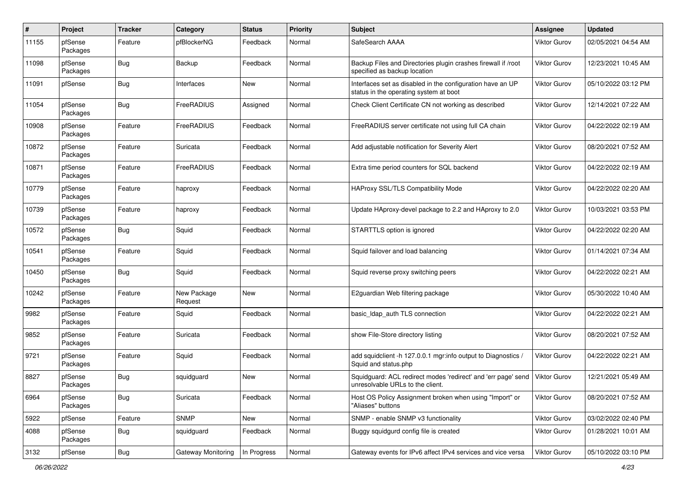| $\pmb{\#}$ | Project             | <b>Tracker</b> | Category               | <b>Status</b> | <b>Priority</b> | <b>Subject</b>                                                                                       | <b>Assignee</b>     | <b>Updated</b>      |
|------------|---------------------|----------------|------------------------|---------------|-----------------|------------------------------------------------------------------------------------------------------|---------------------|---------------------|
| 11155      | pfSense<br>Packages | Feature        | pfBlockerNG            | Feedback      | Normal          | SafeSearch AAAA                                                                                      | <b>Viktor Gurov</b> | 02/05/2021 04:54 AM |
| 11098      | pfSense<br>Packages | Bug            | Backup                 | Feedback      | Normal          | Backup Files and Directories plugin crashes firewall if /root<br>specified as backup location        | <b>Viktor Gurov</b> | 12/23/2021 10:45 AM |
| 11091      | pfSense             | <b>Bug</b>     | Interfaces             | <b>New</b>    | Normal          | Interfaces set as disabled in the configuration have an UP<br>status in the operating system at boot | <b>Viktor Gurov</b> | 05/10/2022 03:12 PM |
| 11054      | pfSense<br>Packages | <b>Bug</b>     | FreeRADIUS             | Assigned      | Normal          | Check Client Certificate CN not working as described                                                 | Viktor Gurov        | 12/14/2021 07:22 AM |
| 10908      | pfSense<br>Packages | Feature        | FreeRADIUS             | Feedback      | Normal          | FreeRADIUS server certificate not using full CA chain                                                | Viktor Gurov        | 04/22/2022 02:19 AM |
| 10872      | pfSense<br>Packages | Feature        | Suricata               | Feedback      | Normal          | Add adjustable notification for Severity Alert                                                       | <b>Viktor Gurov</b> | 08/20/2021 07:52 AM |
| 10871      | pfSense<br>Packages | Feature        | <b>FreeRADIUS</b>      | Feedback      | Normal          | Extra time period counters for SQL backend                                                           | <b>Viktor Gurov</b> | 04/22/2022 02:19 AM |
| 10779      | pfSense<br>Packages | Feature        | haproxy                | Feedback      | Normal          | HAProxy SSL/TLS Compatibility Mode                                                                   | <b>Viktor Gurov</b> | 04/22/2022 02:20 AM |
| 10739      | pfSense<br>Packages | Feature        | haproxy                | Feedback      | Normal          | Update HAproxy-devel package to 2.2 and HAproxy to 2.0                                               | Viktor Gurov        | 10/03/2021 03:53 PM |
| 10572      | pfSense<br>Packages | <b>Bug</b>     | Squid                  | Feedback      | Normal          | STARTTLS option is ignored                                                                           | Viktor Gurov        | 04/22/2022 02:20 AM |
| 10541      | pfSense<br>Packages | Feature        | Squid                  | Feedback      | Normal          | Squid failover and load balancing                                                                    | Viktor Gurov        | 01/14/2021 07:34 AM |
| 10450      | pfSense<br>Packages | Bug            | Squid                  | Feedback      | Normal          | Squid reverse proxy switching peers                                                                  | <b>Viktor Gurov</b> | 04/22/2022 02:21 AM |
| 10242      | pfSense<br>Packages | Feature        | New Package<br>Request | New           | Normal          | E2guardian Web filtering package                                                                     | Viktor Gurov        | 05/30/2022 10:40 AM |
| 9982       | pfSense<br>Packages | Feature        | Squid                  | Feedback      | Normal          | basic_Idap_auth TLS connection                                                                       | <b>Viktor Gurov</b> | 04/22/2022 02:21 AM |
| 9852       | pfSense<br>Packages | Feature        | Suricata               | Feedback      | Normal          | show File-Store directory listing                                                                    | <b>Viktor Gurov</b> | 08/20/2021 07:52 AM |
| 9721       | pfSense<br>Packages | Feature        | Squid                  | Feedback      | Normal          | add squidclient -h 127.0.0.1 mgr:info output to Diagnostics /<br>Squid and status.php                | <b>Viktor Gurov</b> | 04/22/2022 02:21 AM |
| 8827       | pfSense<br>Packages | <b>Bug</b>     | squidguard             | <b>New</b>    | Normal          | Squidguard: ACL redirect modes 'redirect' and 'err page' send<br>unresolvable URLs to the client.    | Viktor Gurov        | 12/21/2021 05:49 AM |
| 6964       | pfSense<br>Packages | <b>Bug</b>     | Suricata               | Feedback      | Normal          | Host OS Policy Assignment broken when using "Import" or<br>"Aliases" buttons                         | Viktor Gurov        | 08/20/2021 07:52 AM |
| 5922       | pfSense             | Feature        | <b>SNMP</b>            | New           | Normal          | SNMP - enable SNMP v3 functionality                                                                  | Viktor Gurov        | 03/02/2022 02:40 PM |
| 4088       | pfSense<br>Packages | <b>Bug</b>     | squidguard             | Feedback      | Normal          | Buggy squidgurd config file is created                                                               | Viktor Gurov        | 01/28/2021 10:01 AM |
| 3132       | pfSense             | Bug            | Gateway Monitoring     | In Progress   | Normal          | Gateway events for IPv6 affect IPv4 services and vice versa                                          | Viktor Gurov        | 05/10/2022 03:10 PM |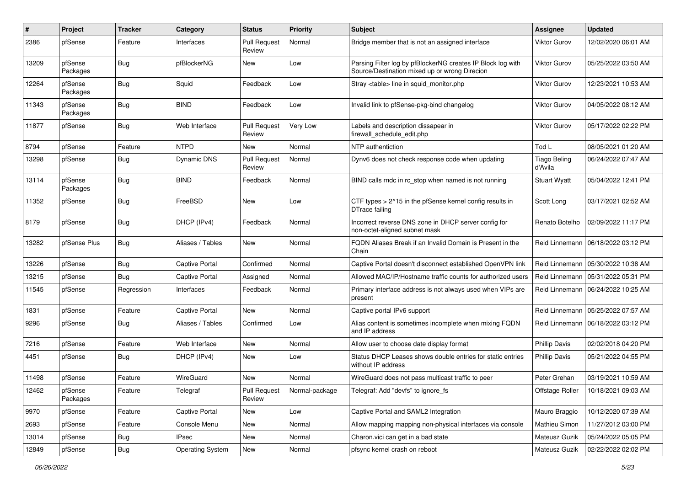| #     | Project             | <b>Tracker</b> | Category                | <b>Status</b>                 | <b>Priority</b> | <b>Subject</b>                                                                                               | <b>Assignee</b>                | <b>Updated</b>      |
|-------|---------------------|----------------|-------------------------|-------------------------------|-----------------|--------------------------------------------------------------------------------------------------------------|--------------------------------|---------------------|
| 2386  | pfSense             | Feature        | Interfaces              | <b>Pull Request</b><br>Review | Normal          | Bridge member that is not an assigned interface                                                              | Viktor Gurov                   | 12/02/2020 06:01 AM |
| 13209 | pfSense<br>Packages | Bug            | pfBlockerNG             | New                           | Low             | Parsing Filter log by pfBlockerNG creates IP Block log with<br>Source/Destination mixed up or wrong Direcion | Viktor Gurov                   | 05/25/2022 03:50 AM |
| 12264 | pfSense<br>Packages | <b>Bug</b>     | Squid                   | Feedback                      | Low             | Stray <table> line in squid_monitor.php</table>                                                              | Viktor Gurov                   | 12/23/2021 10:53 AM |
| 11343 | pfSense<br>Packages | <b>Bug</b>     | <b>BIND</b>             | Feedback                      | Low             | Invalid link to pfSense-pkg-bind changelog                                                                   | Viktor Gurov                   | 04/05/2022 08:12 AM |
| 11877 | pfSense             | <b>Bug</b>     | Web Interface           | <b>Pull Request</b><br>Review | Very Low        | Labels and description dissapear in<br>firewall_schedule_edit.php                                            | Viktor Gurov                   | 05/17/2022 02:22 PM |
| 8794  | pfSense             | Feature        | <b>NTPD</b>             | New                           | Normal          | NTP authentiction                                                                                            | Tod L                          | 08/05/2021 01:20 AM |
| 13298 | pfSense             | <b>Bug</b>     | <b>Dynamic DNS</b>      | <b>Pull Request</b><br>Review | Normal          | Dynv6 does not check response code when updating                                                             | <b>Tiago Beling</b><br>d'Avila | 06/24/2022 07:47 AM |
| 13114 | pfSense<br>Packages | <b>Bug</b>     | <b>BIND</b>             | Feedback                      | Normal          | BIND calls rndc in rc stop when named is not running                                                         | <b>Stuart Wyatt</b>            | 05/04/2022 12:41 PM |
| 11352 | pfSense             | <b>Bug</b>     | FreeBSD                 | New                           | Low             | CTF types > 2^15 in the pfSense kernel config results in<br>DTrace failing                                   | Scott Long                     | 03/17/2021 02:52 AM |
| 8179  | pfSense             | <b>Bug</b>     | DHCP (IPv4)             | Feedback                      | Normal          | Incorrect reverse DNS zone in DHCP server config for<br>non-octet-aligned subnet mask                        | Renato Botelho                 | 02/09/2022 11:17 PM |
| 13282 | pfSense Plus        | Bug            | Aliases / Tables        | New                           | Normal          | FQDN Aliases Break if an Invalid Domain is Present in the<br>Chain                                           | Reid Linnemann                 | 06/18/2022 03:12 PM |
| 13226 | pfSense             | Bug            | Captive Portal          | Confirmed                     | Normal          | Captive Portal doesn't disconnect established OpenVPN link                                                   | Reid Linnemann                 | 05/30/2022 10:38 AM |
| 13215 | pfSense             | <b>Bug</b>     | <b>Captive Portal</b>   | Assigned                      | Normal          | Allowed MAC/IP/Hostname traffic counts for authorized users                                                  | Reid Linnemann                 | 05/31/2022 05:31 PM |
| 11545 | pfSense             | Regression     | Interfaces              | Feedback                      | Normal          | Primary interface address is not always used when VIPs are<br>present                                        | Reid Linnemann                 | 06/24/2022 10:25 AM |
| 1831  | pfSense             | Feature        | <b>Captive Portal</b>   | New                           | Normal          | Captive portal IPv6 support                                                                                  | Reid Linnemann                 | 05/25/2022 07:57 AM |
| 9296  | pfSense             | <b>Bug</b>     | Aliases / Tables        | Confirmed                     | Low             | Alias content is sometimes incomplete when mixing FQDN<br>and IP address                                     | Reid Linnemann                 | 06/18/2022 03:12 PM |
| 7216  | pfSense             | Feature        | Web Interface           | New                           | Normal          | Allow user to choose date display format                                                                     | <b>Phillip Davis</b>           | 02/02/2018 04:20 PM |
| 4451  | pfSense             | Bug            | DHCP (IPv4)             | New                           | Low             | Status DHCP Leases shows double entries for static entries<br>without IP address                             | <b>Phillip Davis</b>           | 05/21/2022 04:55 PM |
| 11498 | pfSense             | Feature        | WireGuard               | <b>New</b>                    | Normal          | WireGuard does not pass multicast traffic to peer                                                            | Peter Grehan                   | 03/19/2021 10:59 AM |
| 12462 | pfSense<br>Packages | Feature        | Telegraf                | <b>Pull Request</b><br>Review | Normal-package  | Telegraf: Add "devfs" to ignore_fs                                                                           | Offstage Roller                | 10/18/2021 09:03 AM |
| 9970  | pfSense             | Feature        | Captive Portal          | New                           | Low             | Captive Portal and SAML2 Integration                                                                         | Mauro Braggio                  | 10/12/2020 07:39 AM |
| 2693  | pfSense             | Feature        | Console Menu            | New                           | Normal          | Allow mapping mapping non-physical interfaces via console                                                    | Mathieu Simon                  | 11/27/2012 03:00 PM |
| 13014 | pfSense             | Bug            | <b>IPsec</b>            | New                           | Normal          | Charon.vici can get in a bad state                                                                           | Mateusz Guzik                  | 05/24/2022 05:05 PM |
| 12849 | pfSense             | Bug            | <b>Operating System</b> | New                           | Normal          | pfsync kernel crash on reboot                                                                                | Mateusz Guzik                  | 02/22/2022 02:02 PM |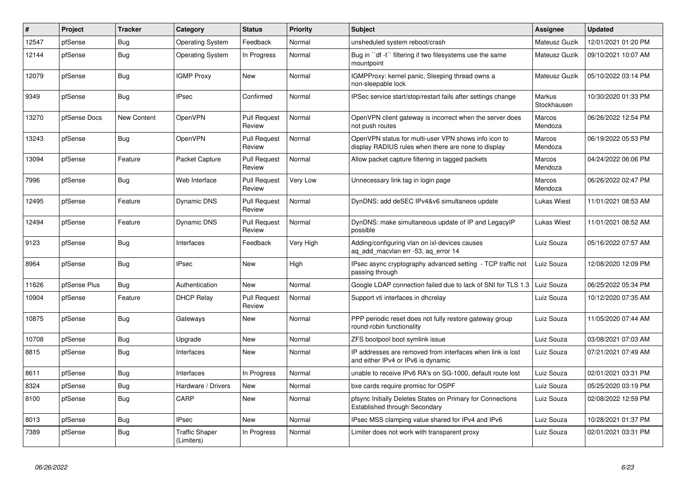| $\vert$ # | <b>Project</b> | <b>Tracker</b> | Category                            | <b>Status</b>                 | <b>Priority</b> | <b>Subject</b>                                                                                              | <b>Assignee</b>              | <b>Updated</b>      |
|-----------|----------------|----------------|-------------------------------------|-------------------------------|-----------------|-------------------------------------------------------------------------------------------------------------|------------------------------|---------------------|
| 12547     | pfSense        | <b>Bug</b>     | <b>Operating System</b>             | Feedback                      | Normal          | unsheduled system reboot/crash                                                                              | Mateusz Guzik                | 12/01/2021 01:20 PM |
| 12144     | pfSense        | <b>Bug</b>     | <b>Operating System</b>             | In Progress                   | Normal          | Bug in "df -t" filtering if two filesystems use the same<br>mountpoint                                      | Mateusz Guzik                | 09/10/2021 10:07 AM |
| 12079     | pfSense        | <b>Bug</b>     | <b>IGMP Proxy</b>                   | New                           | Normal          | IGMPProxy: kernel panic, Sleeping thread owns a<br>non-sleepable lock                                       | Mateusz Guzik                | 05/10/2022 03:14 PM |
| 9349      | pfSense        | Bug            | <b>IPsec</b>                        | Confirmed                     | Normal          | IPSec service start/stop/restart fails after settings change                                                | <b>Markus</b><br>Stockhausen | 10/30/2020 01:33 PM |
| 13270     | pfSense Docs   | New Content    | OpenVPN                             | Pull Request<br>Review        | Normal          | OpenVPN client gateway is incorrect when the server does<br>not push routes                                 | Marcos<br>Mendoza            | 06/26/2022 12:54 PM |
| 13243     | pfSense        | <b>Bug</b>     | OpenVPN                             | Pull Request<br>Review        | Normal          | OpenVPN status for multi-user VPN shows info icon to<br>display RADIUS rules when there are none to display | Marcos<br>Mendoza            | 06/19/2022 05:53 PM |
| 13094     | pfSense        | Feature        | Packet Capture                      | <b>Pull Request</b><br>Review | Normal          | Allow packet capture filtering in tagged packets                                                            | Marcos<br>Mendoza            | 04/24/2022 06:06 PM |
| 7996      | pfSense        | <b>Bug</b>     | Web Interface                       | <b>Pull Request</b><br>Review | Very Low        | Unnecessary link tag in login page                                                                          | Marcos<br>Mendoza            | 06/26/2022 02:47 PM |
| 12495     | pfSense        | Feature        | Dynamic DNS                         | <b>Pull Request</b><br>Review | Normal          | DynDNS: add deSEC IPv4&v6 simultaneos update                                                                | Lukas Wiest                  | 11/01/2021 08:53 AM |
| 12494     | pfSense        | Feature        | Dynamic DNS                         | <b>Pull Request</b><br>Review | Normal          | DynDNS: make simultaneous update of IP and LegacyIP<br>possible                                             | Lukas Wiest                  | 11/01/2021 08:52 AM |
| 9123      | pfSense        | Bug            | Interfaces                          | Feedback                      | Very High       | Adding/configuring vlan on ixl-devices causes<br>aq_add_macvlan err -53, aq_error 14                        | Luiz Souza                   | 05/16/2022 07:57 AM |
| 8964      | pfSense        | <b>Bug</b>     | <b>IPsec</b>                        | New                           | High            | IPsec async cryptography advanced setting - TCP traffic not<br>passing through                              | Luiz Souza                   | 12/08/2020 12:09 PM |
| 11626     | pfSense Plus   | Bug            | Authentication                      | <b>New</b>                    | Normal          | Google LDAP connection failed due to lack of SNI for TLS 1.3                                                | Luiz Souza                   | 06/25/2022 05:34 PM |
| 10904     | pfSense        | Feature        | <b>DHCP Relay</b>                   | <b>Pull Request</b><br>Review | Normal          | Support vti interfaces in dhcrelay                                                                          | Luiz Souza                   | 10/12/2020 07:35 AM |
| 10875     | pfSense        | Bug            | Gateways                            | New                           | Normal          | PPP periodic reset does not fully restore gateway group<br>round-robin functionality                        | Luiz Souza                   | 11/05/2020 07:44 AM |
| 10708     | pfSense        | <b>Bug</b>     | Upgrade                             | <b>New</b>                    | Normal          | ZFS bootpool boot symlink issue                                                                             | Luiz Souza                   | 03/08/2021 07:03 AM |
| 8815      | pfSense        | Bug            | Interfaces                          | New                           | Normal          | IP addresses are removed from interfaces when link is lost<br>and either IPv4 or IPv6 is dynamic            | Luiz Souza                   | 07/21/2021 07:49 AM |
| 8611      | pfSense        | <b>Bug</b>     | Interfaces                          | In Progress                   | Normal          | unable to receive IPv6 RA's on SG-1000, default route lost                                                  | Luiz Souza                   | 02/01/2021 03:31 PM |
| 8324      | pfSense        | <b>Bug</b>     | Hardware / Drivers                  | New                           | Normal          | bxe cards require promisc for OSPF                                                                          | Luiz Souza                   | 05/25/2020 03:19 PM |
| 8100      | pfSense        | <b>Bug</b>     | CARP                                | New                           | Normal          | pfsync Initially Deletes States on Primary for Connections<br>Established through Secondary                 | Luiz Souza                   | 02/08/2022 12:59 PM |
| 8013      | pfSense        | <b>Bug</b>     | <b>IPsec</b>                        | New                           | Normal          | IPsec MSS clamping value shared for IPv4 and IPv6                                                           | Luiz Souza                   | 10/28/2021 01:37 PM |
| 7389      | pfSense        | <b>Bug</b>     | <b>Traffic Shaper</b><br>(Limiters) | In Progress                   | Normal          | Limiter does not work with transparent proxy                                                                | Luiz Souza                   | 02/01/2021 03:31 PM |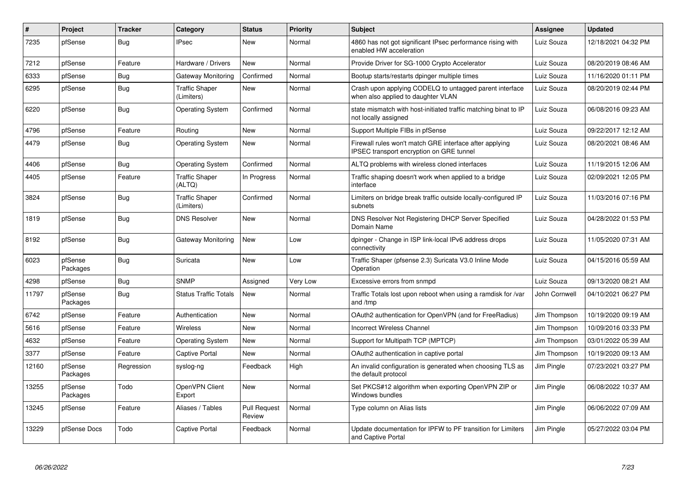| #     | Project             | <b>Tracker</b> | Category                            | <b>Status</b>                 | <b>Priority</b> | <b>Subject</b>                                                                                      | <b>Assignee</b> | <b>Updated</b>      |
|-------|---------------------|----------------|-------------------------------------|-------------------------------|-----------------|-----------------------------------------------------------------------------------------------------|-----------------|---------------------|
| 7235  | pfSense             | <b>Bug</b>     | <b>IPsec</b>                        | <b>New</b>                    | Normal          | 4860 has not got significant IPsec performance rising with<br>enabled HW acceleration               | Luiz Souza      | 12/18/2021 04:32 PM |
| 7212  | pfSense             | Feature        | Hardware / Drivers                  | New                           | Normal          | Provide Driver for SG-1000 Crypto Accelerator                                                       | Luiz Souza      | 08/20/2019 08:46 AM |
| 6333  | pfSense             | <b>Bug</b>     | Gateway Monitoring                  | Confirmed                     | Normal          | Bootup starts/restarts dpinger multiple times                                                       | Luiz Souza      | 11/16/2020 01:11 PM |
| 6295  | pfSense             | <b>Bug</b>     | <b>Traffic Shaper</b><br>(Limiters) | <b>New</b>                    | Normal          | Crash upon applying CODELQ to untagged parent interface<br>when also applied to daughter VLAN       | Luiz Souza      | 08/20/2019 02:44 PM |
| 6220  | pfSense             | Bug            | <b>Operating System</b>             | Confirmed                     | Normal          | state mismatch with host-initiated traffic matching binat to IP<br>not locally assigned             | Luiz Souza      | 06/08/2016 09:23 AM |
| 4796  | pfSense             | Feature        | Routing                             | New                           | Normal          | Support Multiple FIBs in pfSense                                                                    | Luiz Souza      | 09/22/2017 12:12 AM |
| 4479  | pfSense             | <b>Bug</b>     | <b>Operating System</b>             | <b>New</b>                    | Normal          | Firewall rules won't match GRE interface after applying<br>IPSEC transport encryption on GRE tunnel | Luiz Souza      | 08/20/2021 08:46 AM |
| 4406  | pfSense             | <b>Bug</b>     | <b>Operating System</b>             | Confirmed                     | Normal          | ALTQ problems with wireless cloned interfaces                                                       | Luiz Souza      | 11/19/2015 12:06 AM |
| 4405  | pfSense             | Feature        | <b>Traffic Shaper</b><br>(ALTQ)     | In Progress                   | Normal          | Traffic shaping doesn't work when applied to a bridge<br>interface                                  | Luiz Souza      | 02/09/2021 12:05 PM |
| 3824  | pfSense             | <b>Bug</b>     | <b>Traffic Shaper</b><br>(Limiters) | Confirmed                     | Normal          | Limiters on bridge break traffic outside locally-configured IP<br>subnets                           | Luiz Souza      | 11/03/2016 07:16 PM |
| 1819  | pfSense             | <b>Bug</b>     | <b>DNS Resolver</b>                 | <b>New</b>                    | Normal          | DNS Resolver Not Registering DHCP Server Specified<br>Domain Name                                   | Luiz Souza      | 04/28/2022 01:53 PM |
| 8192  | pfSense             | Bug            | Gateway Monitoring                  | <b>New</b>                    | Low             | dpinger - Change in ISP link-local IPv6 address drops<br>connectivity                               | Luiz Souza      | 11/05/2020 07:31 AM |
| 6023  | pfSense<br>Packages | <b>Bug</b>     | Suricata                            | <b>New</b>                    | Low             | Traffic Shaper (pfsense 2.3) Suricata V3.0 Inline Mode<br>Operation                                 | Luiz Souza      | 04/15/2016 05:59 AM |
| 4298  | pfSense             | Bug            | <b>SNMP</b>                         | Assigned                      | Very Low        | Excessive errors from snmpd                                                                         | Luiz Souza      | 09/13/2020 08:21 AM |
| 11797 | pfSense<br>Packages | <b>Bug</b>     | <b>Status Traffic Totals</b>        | <b>New</b>                    | Normal          | Traffic Totals lost upon reboot when using a ramdisk for /var<br>and /tmp                           | John Cornwell   | 04/10/2021 06:27 PM |
| 6742  | pfSense             | Feature        | Authentication                      | <b>New</b>                    | Normal          | OAuth2 authentication for OpenVPN (and for FreeRadius)                                              | Jim Thompson    | 10/19/2020 09:19 AM |
| 5616  | pfSense             | Feature        | <b>Wireless</b>                     | <b>New</b>                    | Normal          | <b>Incorrect Wireless Channel</b>                                                                   | Jim Thompson    | 10/09/2016 03:33 PM |
| 4632  | pfSense             | Feature        | <b>Operating System</b>             | <b>New</b>                    | Normal          | Support for Multipath TCP (MPTCP)                                                                   | Jim Thompson    | 03/01/2022 05:39 AM |
| 3377  | pfSense             | Feature        | <b>Captive Portal</b>               | New                           | Normal          | OAuth2 authentication in captive portal                                                             | Jim Thompson    | 10/19/2020 09:13 AM |
| 12160 | pfSense<br>Packages | Regression     | syslog-ng                           | Feedback                      | High            | An invalid configuration is generated when choosing TLS as<br>the default protocol                  | Jim Pingle      | 07/23/2021 03:27 PM |
| 13255 | pfSense<br>Packages | Todo           | OpenVPN Client<br>Export            | New                           | Normal          | Set PKCS#12 algorithm when exporting OpenVPN ZIP or<br>Windows bundles                              | Jim Pingle      | 06/08/2022 10:37 AM |
| 13245 | pfSense             | Feature        | Aliases / Tables                    | <b>Pull Request</b><br>Review | Normal          | Type column on Alias lists                                                                          | Jim Pingle      | 06/06/2022 07:09 AM |
| 13229 | pfSense Docs        | Todo           | <b>Captive Portal</b>               | Feedback                      | Normal          | Update documentation for IPFW to PF transition for Limiters<br>and Captive Portal                   | Jim Pingle      | 05/27/2022 03:04 PM |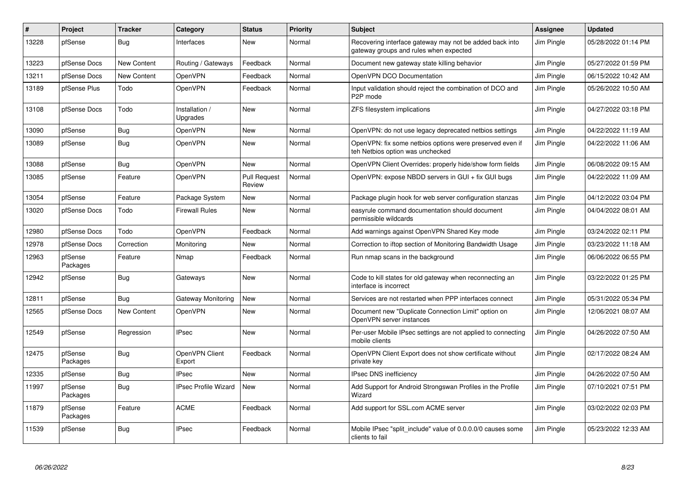| ∦     | Project             | <b>Tracker</b> | Category                    | <b>Status</b>                 | Priority | <b>Subject</b>                                                                                    | <b>Assignee</b> | <b>Updated</b>      |
|-------|---------------------|----------------|-----------------------------|-------------------------------|----------|---------------------------------------------------------------------------------------------------|-----------------|---------------------|
| 13228 | pfSense             | <b>Bug</b>     | Interfaces                  | <b>New</b>                    | Normal   | Recovering interface gateway may not be added back into<br>gateway groups and rules when expected | Jim Pingle      | 05/28/2022 01:14 PM |
| 13223 | pfSense Docs        | New Content    | Routing / Gateways          | Feedback                      | Normal   | Document new gateway state killing behavior                                                       | Jim Pingle      | 05/27/2022 01:59 PM |
| 13211 | pfSense Docs        | New Content    | OpenVPN                     | Feedback                      | Normal   | OpenVPN DCO Documentation                                                                         | Jim Pingle      | 06/15/2022 10:42 AM |
| 13189 | pfSense Plus        | Todo           | OpenVPN                     | Feedback                      | Normal   | Input validation should reject the combination of DCO and<br>P2P mode                             | Jim Pingle      | 05/26/2022 10:50 AM |
| 13108 | pfSense Docs        | Todo           | Installation /<br>Upgrades  | <b>New</b>                    | Normal   | ZFS filesystem implications                                                                       | Jim Pingle      | 04/27/2022 03:18 PM |
| 13090 | pfSense             | <b>Bug</b>     | OpenVPN                     | New                           | Normal   | OpenVPN: do not use legacy deprecated netbios settings                                            | Jim Pingle      | 04/22/2022 11:19 AM |
| 13089 | pfSense             | <b>Bug</b>     | OpenVPN                     | New                           | Normal   | OpenVPN: fix some netbios options were preserved even if<br>teh Netbios option was unchecked      | Jim Pingle      | 04/22/2022 11:06 AM |
| 13088 | pfSense             | <b>Bug</b>     | OpenVPN                     | New                           | Normal   | OpenVPN Client Overrides: properly hide/show form fields                                          | Jim Pingle      | 06/08/2022 09:15 AM |
| 13085 | pfSense             | Feature        | OpenVPN                     | <b>Pull Request</b><br>Review | Normal   | OpenVPN: expose NBDD servers in GUI + fix GUI bugs                                                | Jim Pingle      | 04/22/2022 11:09 AM |
| 13054 | pfSense             | Feature        | Package System              | New                           | Normal   | Package plugin hook for web server configuration stanzas                                          | Jim Pingle      | 04/12/2022 03:04 PM |
| 13020 | pfSense Docs        | Todo           | <b>Firewall Rules</b>       | <b>New</b>                    | Normal   | easyrule command documentation should document<br>permissible wildcards                           | Jim Pingle      | 04/04/2022 08:01 AM |
| 12980 | pfSense Docs        | Todo           | OpenVPN                     | Feedback                      | Normal   | Add warnings against OpenVPN Shared Key mode                                                      | Jim Pingle      | 03/24/2022 02:11 PM |
| 12978 | pfSense Docs        | Correction     | Monitoring                  | New                           | Normal   | Correction to iftop section of Monitoring Bandwidth Usage                                         | Jim Pingle      | 03/23/2022 11:18 AM |
| 12963 | pfSense<br>Packages | Feature        | Nmap                        | Feedback                      | Normal   | Run nmap scans in the background                                                                  | Jim Pingle      | 06/06/2022 06:55 PM |
| 12942 | pfSense             | Bug            | Gateways                    | <b>New</b>                    | Normal   | Code to kill states for old gateway when reconnecting an<br>interface is incorrect                | Jim Pingle      | 03/22/2022 01:25 PM |
| 12811 | pfSense             | Bug            | Gateway Monitoring          | <b>New</b>                    | Normal   | Services are not restarted when PPP interfaces connect                                            | Jim Pingle      | 05/31/2022 05:34 PM |
| 12565 | pfSense Docs        | New Content    | OpenVPN                     | New                           | Normal   | Document new "Duplicate Connection Limit" option on<br>OpenVPN server instances                   | Jim Pingle      | 12/06/2021 08:07 AM |
| 12549 | pfSense             | Regression     | <b>IPsec</b>                | <b>New</b>                    | Normal   | Per-user Mobile IPsec settings are not applied to connecting<br>mobile clients                    | Jim Pingle      | 04/26/2022 07:50 AM |
| 12475 | pfSense<br>Packages | Bug            | OpenVPN Client<br>Export    | Feedback                      | Normal   | OpenVPN Client Export does not show certificate without<br>private key                            | Jim Pingle      | 02/17/2022 08:24 AM |
| 12335 | pfSense             | Bug            | <b>IPsec</b>                | <b>New</b>                    | Normal   | <b>IPsec DNS inefficiency</b>                                                                     | Jim Pingle      | 04/26/2022 07:50 AM |
| 11997 | pfSense<br>Packages | <b>Bug</b>     | <b>IPsec Profile Wizard</b> | <b>New</b>                    | Normal   | Add Support for Android Strongswan Profiles in the Profile<br>Wizard                              | Jim Pingle      | 07/10/2021 07:51 PM |
| 11879 | pfSense<br>Packages | Feature        | <b>ACME</b>                 | Feedback                      | Normal   | Add support for SSL.com ACME server                                                               | Jim Pingle      | 03/02/2022 02:03 PM |
| 11539 | pfSense             | <b>Bug</b>     | <b>IPsec</b>                | Feedback                      | Normal   | Mobile IPsec "split include" value of 0.0.0.0/0 causes some<br>clients to fail                    | Jim Pingle      | 05/23/2022 12:33 AM |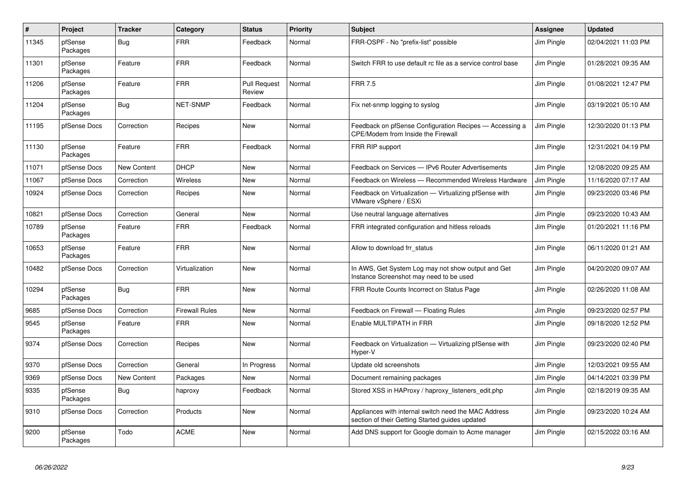| $\vert$ # | Project             | <b>Tracker</b> | Category              | <b>Status</b>                 | <b>Priority</b> | <b>Subject</b>                                                                                          | Assignee   | <b>Updated</b>      |
|-----------|---------------------|----------------|-----------------------|-------------------------------|-----------------|---------------------------------------------------------------------------------------------------------|------------|---------------------|
| 11345     | pfSense<br>Packages | Bug            | <b>FRR</b>            | Feedback                      | Normal          | FRR-OSPF - No "prefix-list" possible                                                                    | Jim Pingle | 02/04/2021 11:03 PM |
| 11301     | pfSense<br>Packages | Feature        | <b>FRR</b>            | Feedback                      | Normal          | Switch FRR to use default rc file as a service control base                                             | Jim Pingle | 01/28/2021 09:35 AM |
| 11206     | pfSense<br>Packages | Feature        | <b>FRR</b>            | <b>Pull Request</b><br>Review | Normal          | <b>FRR 7.5</b>                                                                                          | Jim Pingle | 01/08/2021 12:47 PM |
| 11204     | pfSense<br>Packages | Bug            | NET-SNMP              | Feedback                      | Normal          | Fix net-snmp logging to syslog                                                                          | Jim Pingle | 03/19/2021 05:10 AM |
| 11195     | pfSense Docs        | Correction     | Recipes               | New                           | Normal          | Feedback on pfSense Configuration Recipes - Accessing a<br><b>CPE/Modem from Inside the Firewall</b>    | Jim Pingle | 12/30/2020 01:13 PM |
| 11130     | pfSense<br>Packages | Feature        | <b>FRR</b>            | Feedback                      | Normal          | FRR RIP support                                                                                         | Jim Pingle | 12/31/2021 04:19 PM |
| 11071     | pfSense Docs        | New Content    | <b>DHCP</b>           | New                           | Normal          | Feedback on Services - IPv6 Router Advertisements                                                       | Jim Pingle | 12/08/2020 09:25 AM |
| 11067     | pfSense Docs        | Correction     | Wireless              | <b>New</b>                    | Normal          | Feedback on Wireless — Recommended Wireless Hardware                                                    | Jim Pingle | 11/16/2020 07:17 AM |
| 10924     | pfSense Docs        | Correction     | Recipes               | New                           | Normal          | Feedback on Virtualization - Virtualizing pfSense with<br>VMware vSphere / ESXi                         | Jim Pingle | 09/23/2020 03:46 PM |
| 10821     | pfSense Docs        | Correction     | General               | <b>New</b>                    | Normal          | Use neutral language alternatives                                                                       | Jim Pingle | 09/23/2020 10:43 AM |
| 10789     | pfSense<br>Packages | Feature        | <b>FRR</b>            | Feedback                      | Normal          | FRR integrated configuration and hitless reloads                                                        | Jim Pingle | 01/20/2021 11:16 PM |
| 10653     | pfSense<br>Packages | Feature        | <b>FRR</b>            | <b>New</b>                    | Normal          | Allow to download frr status                                                                            | Jim Pingle | 06/11/2020 01:21 AM |
| 10482     | pfSense Docs        | Correction     | Virtualization        | New                           | Normal          | In AWS, Get System Log may not show output and Get<br>Instance Screenshot may need to be used           | Jim Pingle | 04/20/2020 09:07 AM |
| 10294     | pfSense<br>Packages | <b>Bug</b>     | <b>FRR</b>            | <b>New</b>                    | Normal          | FRR Route Counts Incorrect on Status Page                                                               | Jim Pingle | 02/26/2020 11:08 AM |
| 9685      | pfSense Docs        | Correction     | <b>Firewall Rules</b> | <b>New</b>                    | Normal          | Feedback on Firewall - Floating Rules                                                                   | Jim Pingle | 09/23/2020 02:57 PM |
| 9545      | pfSense<br>Packages | Feature        | <b>FRR</b>            | <b>New</b>                    | Normal          | Enable MULTIPATH in FRR                                                                                 | Jim Pingle | 09/18/2020 12:52 PM |
| 9374      | pfSense Docs        | Correction     | Recipes               | <b>New</b>                    | Normal          | Feedback on Virtualization - Virtualizing pfSense with<br>Hyper-V                                       | Jim Pingle | 09/23/2020 02:40 PM |
| 9370      | pfSense Docs        | Correction     | General               | In Progress                   | Normal          | Update old screenshots                                                                                  | Jim Pingle | 12/03/2021 09:55 AM |
| 9369      | pfSense Docs        | New Content    | Packages              | New                           | Normal          | Document remaining packages                                                                             | Jim Pingle | 04/14/2021 03:39 PM |
| 9335      | pfSense<br>Packages | <b>Bug</b>     | haproxy               | Feedback                      | Normal          | Stored XSS in HAProxy / haproxy listeners edit.php                                                      | Jim Pingle | 02/18/2019 09:35 AM |
| 9310      | pfSense Docs        | Correction     | Products              | New                           | Normal          | Appliances with internal switch need the MAC Address<br>section of their Getting Started guides updated | Jim Pingle | 09/23/2020 10:24 AM |
| 9200      | pfSense<br>Packages | Todo           | <b>ACME</b>           | <b>New</b>                    | Normal          | Add DNS support for Google domain to Acme manager                                                       | Jim Pingle | 02/15/2022 03:16 AM |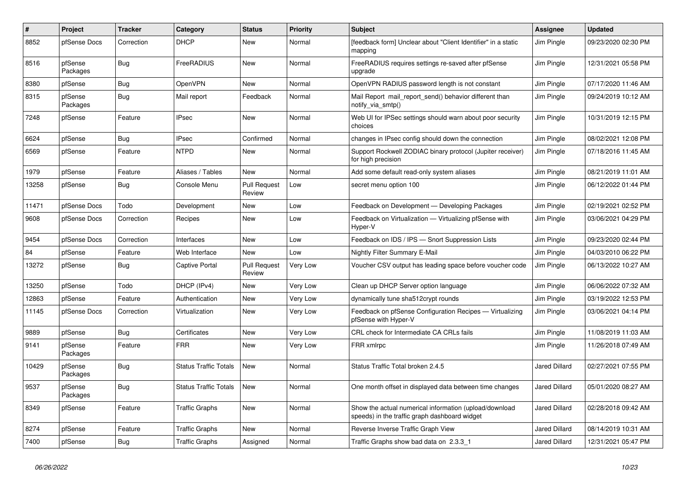| #     | Project             | <b>Tracker</b> | Category                     | <b>Status</b>                 | <b>Priority</b> | <b>Subject</b>                                                                                          | <b>Assignee</b>      | Updated             |
|-------|---------------------|----------------|------------------------------|-------------------------------|-----------------|---------------------------------------------------------------------------------------------------------|----------------------|---------------------|
| 8852  | pfSense Docs        | Correction     | <b>DHCP</b>                  | New                           | Normal          | [feedback form] Unclear about "Client Identifier" in a static<br>mapping                                | Jim Pingle           | 09/23/2020 02:30 PM |
| 8516  | pfSense<br>Packages | <b>Bug</b>     | FreeRADIUS                   | <b>New</b>                    | Normal          | FreeRADIUS requires settings re-saved after pfSense<br>upgrade                                          | Jim Pingle           | 12/31/2021 05:58 PM |
| 8380  | pfSense             | Bug            | OpenVPN                      | <b>New</b>                    | Normal          | OpenVPN RADIUS password length is not constant                                                          | Jim Pingle           | 07/17/2020 11:46 AM |
| 8315  | pfSense<br>Packages | Bug            | Mail report                  | Feedback                      | Normal          | Mail Report mail report send() behavior different than<br>notify_via_smtp()                             | Jim Pingle           | 09/24/2019 10:12 AM |
| 7248  | pfSense             | Feature        | <b>IPsec</b>                 | New                           | Normal          | Web UI for IPSec settings should warn about poor security<br>choices                                    | Jim Pingle           | 10/31/2019 12:15 PM |
| 6624  | pfSense             | <b>Bug</b>     | <b>IPsec</b>                 | Confirmed                     | Normal          | changes in IPsec config should down the connection                                                      | Jim Pingle           | 08/02/2021 12:08 PM |
| 6569  | pfSense             | Feature        | <b>NTPD</b>                  | New                           | Normal          | Support Rockwell ZODIAC binary protocol (Jupiter receiver)<br>for high precision                        | Jim Pingle           | 07/18/2016 11:45 AM |
| 1979  | pfSense             | Feature        | Aliases / Tables             | <b>New</b>                    | Normal          | Add some default read-only system aliases                                                               | Jim Pingle           | 08/21/2019 11:01 AM |
| 13258 | pfSense             | <b>Bug</b>     | Console Menu                 | <b>Pull Request</b><br>Review | Low             | secret menu option 100                                                                                  | Jim Pingle           | 06/12/2022 01:44 PM |
| 11471 | pfSense Docs        | Todo           | Development                  | <b>New</b>                    | Low             | Feedback on Development - Developing Packages                                                           | Jim Pingle           | 02/19/2021 02:52 PM |
| 9608  | pfSense Docs        | Correction     | Recipes                      | <b>New</b>                    | Low             | Feedback on Virtualization - Virtualizing pfSense with<br>Hyper-V                                       | Jim Pingle           | 03/06/2021 04:29 PM |
| 9454  | pfSense Docs        | Correction     | Interfaces                   | New                           | Low             | Feedback on IDS / IPS - Snort Suppression Lists                                                         | Jim Pingle           | 09/23/2020 02:44 PM |
| 84    | pfSense             | Feature        | Web Interface                | New                           | Low             | <b>Nightly Filter Summary E-Mail</b>                                                                    | Jim Pingle           | 04/03/2010 06:22 PM |
| 13272 | pfSense             | Bug            | <b>Captive Portal</b>        | <b>Pull Request</b><br>Review | Very Low        | Voucher CSV output has leading space before voucher code                                                | Jim Pingle           | 06/13/2022 10:27 AM |
| 13250 | pfSense             | Todo           | DHCP (IPv4)                  | New                           | Very Low        | Clean up DHCP Server option language                                                                    | Jim Pingle           | 06/06/2022 07:32 AM |
| 12863 | pfSense             | Feature        | Authentication               | New                           | Very Low        | dynamically tune sha512crypt rounds                                                                     | Jim Pingle           | 03/19/2022 12:53 PM |
| 11145 | pfSense Docs        | Correction     | Virtualization               | New                           | Very Low        | Feedback on pfSense Configuration Recipes — Virtualizing<br>pfSense with Hyper-V                        | Jim Pingle           | 03/06/2021 04:14 PM |
| 9889  | pfSense             | <b>Bug</b>     | Certificates                 | <b>New</b>                    | Very Low        | CRL check for Intermediate CA CRLs fails                                                                | Jim Pingle           | 11/08/2019 11:03 AM |
| 9141  | pfSense<br>Packages | Feature        | <b>FRR</b>                   | <b>New</b>                    | Very Low        | FRR xmlrpc                                                                                              | Jim Pingle           | 11/26/2018 07:49 AM |
| 10429 | pfSense<br>Packages | Bug            | <b>Status Traffic Totals</b> | <b>New</b>                    | Normal          | Status Traffic Total broken 2.4.5                                                                       | <b>Jared Dillard</b> | 02/27/2021 07:55 PM |
| 9537  | pfSense<br>Packages | <b>Bug</b>     | <b>Status Traffic Totals</b> | New                           | Normal          | One month offset in displayed data between time changes                                                 | <b>Jared Dillard</b> | 05/01/2020 08:27 AM |
| 8349  | pfSense             | Feature        | <b>Traffic Graphs</b>        | New                           | Normal          | Show the actual numerical information (upload/download<br>speeds) in the traffic graph dashboard widget | <b>Jared Dillard</b> | 02/28/2018 09:42 AM |
| 8274  | pfSense             | Feature        | <b>Traffic Graphs</b>        | <b>New</b>                    | Normal          | Reverse Inverse Traffic Graph View                                                                      | <b>Jared Dillard</b> | 08/14/2019 10:31 AM |
| 7400  | pfSense             | <b>Bug</b>     | <b>Traffic Graphs</b>        | Assigned                      | Normal          | Traffic Graphs show bad data on 2.3.3 1                                                                 | <b>Jared Dillard</b> | 12/31/2021 05:47 PM |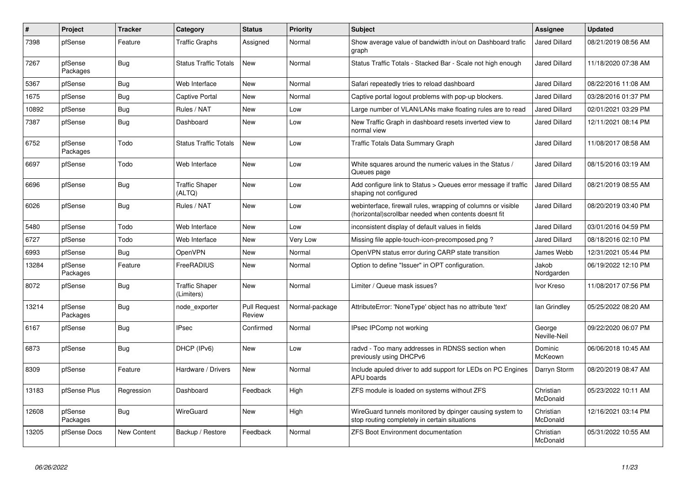| #     | Project             | <b>Tracker</b> | Category                            | <b>Status</b>                 | <b>Priority</b> | <b>Subject</b>                                                                                                        | Assignee               | <b>Updated</b>      |
|-------|---------------------|----------------|-------------------------------------|-------------------------------|-----------------|-----------------------------------------------------------------------------------------------------------------------|------------------------|---------------------|
| 7398  | pfSense             | Feature        | <b>Traffic Graphs</b>               | Assigned                      | Normal          | Show average value of bandwidth in/out on Dashboard trafic<br>graph                                                   | <b>Jared Dillard</b>   | 08/21/2019 08:56 AM |
| 7267  | pfSense<br>Packages | <b>Bug</b>     | <b>Status Traffic Totals</b>        | <b>New</b>                    | Normal          | Status Traffic Totals - Stacked Bar - Scale not high enough                                                           | <b>Jared Dillard</b>   | 11/18/2020 07:38 AM |
| 5367  | pfSense             | <b>Bug</b>     | Web Interface                       | <b>New</b>                    | Normal          | Safari repeatedly tries to reload dashboard                                                                           | Jared Dillard          | 08/22/2016 11:08 AM |
| 1675  | pfSense             | <b>Bug</b>     | <b>Captive Portal</b>               | <b>New</b>                    | Normal          | Captive portal logout problems with pop-up blockers.                                                                  | Jared Dillard          | 03/28/2016 01:37 PM |
| 10892 | pfSense             | <b>Bug</b>     | Rules / NAT                         | New                           | Low             | Large number of VLAN/LANs make floating rules are to read                                                             | <b>Jared Dillard</b>   | 02/01/2021 03:29 PM |
| 7387  | pfSense             | <b>Bug</b>     | Dashboard                           | New                           | Low             | New Traffic Graph in dashboard resets inverted view to<br>normal view                                                 | <b>Jared Dillard</b>   | 12/11/2021 08:14 PM |
| 6752  | pfSense<br>Packages | Todo           | <b>Status Traffic Totals</b>        | <b>New</b>                    | Low             | Traffic Totals Data Summary Graph                                                                                     | Jared Dillard          | 11/08/2017 08:58 AM |
| 6697  | pfSense             | Todo           | Web Interface                       | <b>New</b>                    | Low             | White squares around the numeric values in the Status /<br>Queues page                                                | Jared Dillard          | 08/15/2016 03:19 AM |
| 6696  | pfSense             | Bug            | <b>Traffic Shaper</b><br>(ALTQ)     | New                           | Low             | Add configure link to Status > Queues error message if traffic<br>shaping not configured                              | Jared Dillard          | 08/21/2019 08:55 AM |
| 6026  | pfSense             | <b>Bug</b>     | Rules / NAT                         | New                           | Low             | webinterface, firewall rules, wrapping of columns or visible<br>(horizontal)scrollbar needed when contents doesnt fit | Jared Dillard          | 08/20/2019 03:40 PM |
| 5480  | pfSense             | Todo           | Web Interface                       | <b>New</b>                    | Low             | inconsistent display of default values in fields                                                                      | <b>Jared Dillard</b>   | 03/01/2016 04:59 PM |
| 6727  | pfSense             | Todo           | Web Interface                       | New                           | Very Low        | Missing file apple-touch-icon-precomposed.png?                                                                        | <b>Jared Dillard</b>   | 08/18/2016 02:10 PM |
| 6993  | pfSense             | <b>Bug</b>     | OpenVPN                             | <b>New</b>                    | Normal          | OpenVPN status error during CARP state transition                                                                     | James Webb             | 12/31/2021 05:44 PM |
| 13284 | pfSense<br>Packages | Feature        | FreeRADIUS                          | <b>New</b>                    | Normal          | Option to define "Issuer" in OPT configuration.                                                                       | Jakob<br>Nordgarden    | 06/19/2022 12:10 PM |
| 8072  | pfSense             | <b>Bug</b>     | <b>Traffic Shaper</b><br>(Limiters) | <b>New</b>                    | Normal          | Limiter / Queue mask issues?                                                                                          | Ivor Kreso             | 11/08/2017 07:56 PM |
| 13214 | pfSense<br>Packages | <b>Bug</b>     | node exporter                       | <b>Pull Request</b><br>Review | Normal-package  | AttributeError: 'NoneType' object has no attribute 'text'                                                             | lan Grindley           | 05/25/2022 08:20 AM |
| 6167  | pfSense             | <b>Bug</b>     | <b>IPsec</b>                        | Confirmed                     | Normal          | IPsec IPComp not working                                                                                              | George<br>Neville-Neil | 09/22/2020 06:07 PM |
| 6873  | pfSense             | <b>Bug</b>     | DHCP (IPv6)                         | <b>New</b>                    | Low             | radvd - Too many addresses in RDNSS section when<br>previously using DHCPv6                                           | Dominic<br>McKeown     | 06/06/2018 10:45 AM |
| 8309  | pfSense             | Feature        | Hardware / Drivers                  | <b>New</b>                    | Normal          | Include apuled driver to add support for LEDs on PC Engines<br><b>APU</b> boards                                      | Darryn Storm           | 08/20/2019 08:47 AM |
| 13183 | pfSense Plus        | Regression     | Dashboard                           | Feedback                      | High            | ZFS module is loaded on systems without ZFS                                                                           | Christian<br>McDonald  | 05/23/2022 10:11 AM |
| 12608 | pfSense<br>Packages | <b>Bug</b>     | WireGuard                           | New                           | High            | WireGuard tunnels monitored by dpinger causing system to<br>stop routing completely in certain situations             | Christian<br>McDonald  | 12/16/2021 03:14 PM |
| 13205 | pfSense Docs        | New Content    | Backup / Restore                    | Feedback                      | Normal          | ZFS Boot Environment documentation                                                                                    | Christian<br>McDonald  | 05/31/2022 10:55 AM |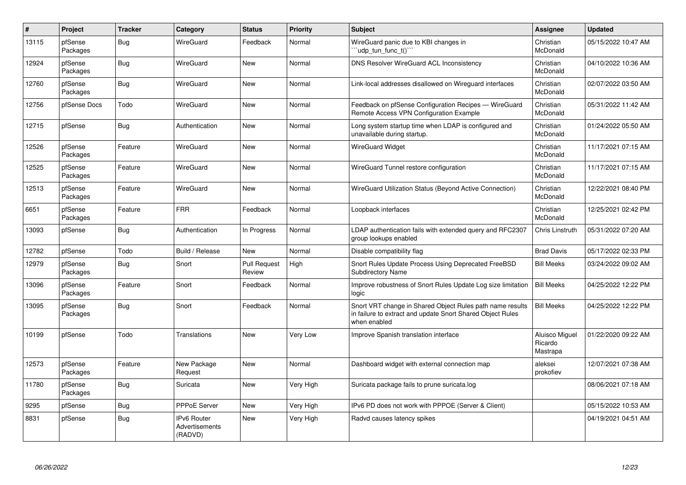| $\vert$ # | Project             | <b>Tracker</b> | Category                                 | <b>Status</b>                 | <b>Priority</b> | <b>Subject</b>                                                                                                                          | <b>Assignee</b>                       | <b>Updated</b>      |
|-----------|---------------------|----------------|------------------------------------------|-------------------------------|-----------------|-----------------------------------------------------------------------------------------------------------------------------------------|---------------------------------------|---------------------|
| 13115     | pfSense<br>Packages | <b>Bug</b>     | WireGuard                                | Feedback                      | Normal          | WireGuard panic due to KBI changes in<br>'udp tun func t()'                                                                             | Christian<br>McDonald                 | 05/15/2022 10:47 AM |
| 12924     | pfSense<br>Packages | <b>Bug</b>     | WireGuard                                | <b>New</b>                    | Normal          | DNS Resolver WireGuard ACL Inconsistency                                                                                                | Christian<br>McDonald                 | 04/10/2022 10:36 AM |
| 12760     | pfSense<br>Packages | <b>Bug</b>     | WireGuard                                | <b>New</b>                    | Normal          | Link-local addresses disallowed on Wireguard interfaces                                                                                 | Christian<br>McDonald                 | 02/07/2022 03:50 AM |
| 12756     | pfSense Docs        | Todo           | WireGuard                                | New                           | Normal          | Feedback on pfSense Configuration Recipes - WireGuard<br>Remote Access VPN Configuration Example                                        | Christian<br>McDonald                 | 05/31/2022 11:42 AM |
| 12715     | pfSense             | <b>Bug</b>     | Authentication                           | New                           | Normal          | Long system startup time when LDAP is configured and<br>unavailable during startup.                                                     | Christian<br>McDonald                 | 01/24/2022 05:50 AM |
| 12526     | pfSense<br>Packages | Feature        | WireGuard                                | <b>New</b>                    | Normal          | WireGuard Widget                                                                                                                        | Christian<br>McDonald                 | 11/17/2021 07:15 AM |
| 12525     | pfSense<br>Packages | Feature        | WireGuard                                | <b>New</b>                    | Normal          | WireGuard Tunnel restore configuration                                                                                                  | Christian<br>McDonald                 | 11/17/2021 07:15 AM |
| 12513     | pfSense<br>Packages | Feature        | WireGuard                                | New                           | Normal          | WireGuard Utilization Status (Beyond Active Connection)                                                                                 | Christian<br>McDonald                 | 12/22/2021 08:40 PM |
| 6651      | pfSense<br>Packages | Feature        | <b>FRR</b>                               | Feedback                      | Normal          | Loopback interfaces                                                                                                                     | Christian<br>McDonald                 | 12/25/2021 02:42 PM |
| 13093     | pfSense             | Bug            | Authentication                           | In Progress                   | Normal          | LDAP authentication fails with extended query and RFC2307<br>group lookups enabled                                                      | Chris Linstruth                       | 05/31/2022 07:20 AM |
| 12782     | pfSense             | Todo           | Build / Release                          | <b>New</b>                    | Normal          | Disable compatibility flag                                                                                                              | <b>Brad Davis</b>                     | 05/17/2022 02:33 PM |
| 12979     | pfSense<br>Packages | Bug            | Snort                                    | <b>Pull Request</b><br>Review | High            | Snort Rules Update Process Using Deprecated FreeBSD<br>Subdirectory Name                                                                | <b>Bill Meeks</b>                     | 03/24/2022 09:02 AM |
| 13096     | pfSense<br>Packages | Feature        | Snort                                    | Feedback                      | Normal          | Improve robustness of Snort Rules Update Log size limitation<br>logic                                                                   | <b>Bill Meeks</b>                     | 04/25/2022 12:22 PM |
| 13095     | pfSense<br>Packages | <b>Bug</b>     | Snort                                    | Feedback                      | Normal          | Snort VRT change in Shared Object Rules path name results<br>in failure to extract and update Snort Shared Object Rules<br>when enabled | <b>Bill Meeks</b>                     | 04/25/2022 12:22 PM |
| 10199     | pfSense             | Todo           | Translations                             | <b>New</b>                    | Very Low        | Improve Spanish translation interface                                                                                                   | Aluisco Miguel<br>Ricardo<br>Mastrapa | 01/22/2020 09:22 AM |
| 12573     | pfSense<br>Packages | Feature        | New Package<br>Request                   | <b>New</b>                    | Normal          | Dashboard widget with external connection map                                                                                           | aleksei<br>prokofiev                  | 12/07/2021 07:38 AM |
| 11780     | pfSense<br>Packages | Bug            | Suricata                                 | <b>New</b>                    | Very High       | Suricata package fails to prune suricata.log                                                                                            |                                       | 08/06/2021 07:18 AM |
| 9295      | pfSense             | <b>Bug</b>     | PPPoE Server                             | New                           | Very High       | IPv6 PD does not work with PPPOE (Server & Client)                                                                                      |                                       | 05/15/2022 10:53 AM |
| 8831      | pfSense             | <b>Bug</b>     | IPv6 Router<br>Advertisements<br>(RADVD) | New                           | Very High       | Radvd causes latency spikes                                                                                                             |                                       | 04/19/2021 04:51 AM |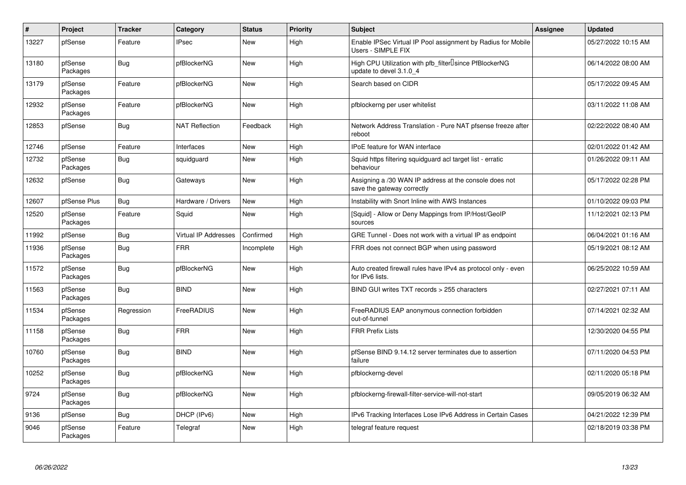| $\vert$ # | Project             | <b>Tracker</b> | Category              | <b>Status</b> | <b>Priority</b> | <b>Subject</b>                                                                       | Assignee | <b>Updated</b>      |
|-----------|---------------------|----------------|-----------------------|---------------|-----------------|--------------------------------------------------------------------------------------|----------|---------------------|
| 13227     | pfSense             | Feature        | <b>IPsec</b>          | <b>New</b>    | High            | Enable IPSec Virtual IP Pool assignment by Radius for Mobile<br>Users - SIMPLE FIX   |          | 05/27/2022 10:15 AM |
| 13180     | pfSense<br>Packages | <b>Bug</b>     | pfBlockerNG           | New           | High            | High CPU Utilization with pfb filter Usince PfBlockerNG<br>update to devel 3.1.0 4   |          | 06/14/2022 08:00 AM |
| 13179     | pfSense<br>Packages | Feature        | pfBlockerNG           | <b>New</b>    | High            | Search based on CIDR                                                                 |          | 05/17/2022 09:45 AM |
| 12932     | pfSense<br>Packages | Feature        | pfBlockerNG           | <b>New</b>    | High            | pfblockerng per user whitelist                                                       |          | 03/11/2022 11:08 AM |
| 12853     | pfSense             | Bug            | <b>NAT Reflection</b> | Feedback      | High            | Network Address Translation - Pure NAT pfsense freeze after<br>reboot                |          | 02/22/2022 08:40 AM |
| 12746     | pfSense             | Feature        | Interfaces            | New           | High            | <b>IPoE</b> feature for WAN interface                                                |          | 02/01/2022 01:42 AM |
| 12732     | pfSense<br>Packages | Bug            | squidguard            | New           | High            | Squid https filtering squidguard acl target list - erratic<br>behaviour              |          | 01/26/2022 09:11 AM |
| 12632     | pfSense             | <b>Bug</b>     | Gateways              | <b>New</b>    | High            | Assigning a /30 WAN IP address at the console does not<br>save the gateway correctly |          | 05/17/2022 02:28 PM |
| 12607     | pfSense Plus        | <b>Bug</b>     | Hardware / Drivers    | <b>New</b>    | High            | Instability with Snort Inline with AWS Instances                                     |          | 01/10/2022 09:03 PM |
| 12520     | pfSense<br>Packages | Feature        | Squid                 | New           | High            | [Squid] - Allow or Deny Mappings from IP/Host/GeoIP<br>sources                       |          | 11/12/2021 02:13 PM |
| 11992     | pfSense             | <b>Bug</b>     | Virtual IP Addresses  | Confirmed     | High            | GRE Tunnel - Does not work with a virtual IP as endpoint                             |          | 06/04/2021 01:16 AM |
| 11936     | pfSense<br>Packages | Bug            | <b>FRR</b>            | Incomplete    | High            | FRR does not connect BGP when using password                                         |          | 05/19/2021 08:12 AM |
| 11572     | pfSense<br>Packages | Bug            | pfBlockerNG           | <b>New</b>    | High            | Auto created firewall rules have IPv4 as protocol only - even<br>for IPv6 lists.     |          | 06/25/2022 10:59 AM |
| 11563     | pfSense<br>Packages | <b>Bug</b>     | <b>BIND</b>           | <b>New</b>    | High            | BIND GUI writes TXT records > 255 characters                                         |          | 02/27/2021 07:11 AM |
| 11534     | pfSense<br>Packages | Regression     | FreeRADIUS            | <b>New</b>    | High            | FreeRADIUS EAP anonymous connection forbidden<br>out-of-tunnel                       |          | 07/14/2021 02:32 AM |
| 11158     | pfSense<br>Packages | Bug            | <b>FRR</b>            | <b>New</b>    | High            | <b>FRR Prefix Lists</b>                                                              |          | 12/30/2020 04:55 PM |
| 10760     | pfSense<br>Packages | <b>Bug</b>     | <b>BIND</b>           | <b>New</b>    | High            | pfSense BIND 9.14.12 server terminates due to assertion<br>failure                   |          | 07/11/2020 04:53 PM |
| 10252     | pfSense<br>Packages | Bug            | pfBlockerNG           | <b>New</b>    | High            | pfblockerng-devel                                                                    |          | 02/11/2020 05:18 PM |
| 9724      | pfSense<br>Packages | <b>Bug</b>     | pfBlockerNG           | <b>New</b>    | High            | pfblockerng-firewall-filter-service-will-not-start                                   |          | 09/05/2019 06:32 AM |
| 9136      | pfSense             | <b>Bug</b>     | DHCP (IPv6)           | <b>New</b>    | High            | IPv6 Tracking Interfaces Lose IPv6 Address in Certain Cases                          |          | 04/21/2022 12:39 PM |
| 9046      | pfSense<br>Packages | Feature        | Telegraf              | <b>New</b>    | High            | telegraf feature request                                                             |          | 02/18/2019 03:38 PM |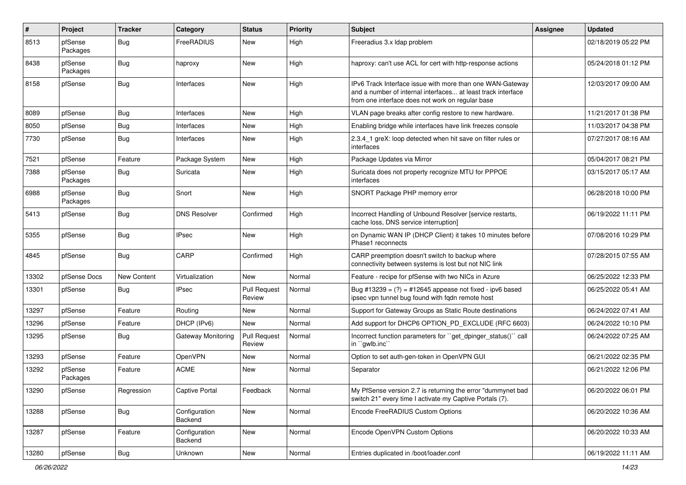| #     | Project             | <b>Tracker</b> | Category                 | <b>Status</b>                 | <b>Priority</b> | <b>Subject</b>                                                                                                                                                                | Assignee | <b>Updated</b>      |
|-------|---------------------|----------------|--------------------------|-------------------------------|-----------------|-------------------------------------------------------------------------------------------------------------------------------------------------------------------------------|----------|---------------------|
| 8513  | pfSense<br>Packages | <b>Bug</b>     | FreeRADIUS               | New                           | High            | Freeradius 3.x Idap problem                                                                                                                                                   |          | 02/18/2019 05:22 PM |
| 8438  | pfSense<br>Packages | <b>Bug</b>     | haproxy                  | New                           | High            | haproxy: can't use ACL for cert with http-response actions                                                                                                                    |          | 05/24/2018 01:12 PM |
| 8158  | pfSense             | <b>Bug</b>     | Interfaces               | New                           | High            | IPv6 Track Interface issue with more than one WAN-Gateway<br>and a number of internal interfaces at least track interface<br>from one interface does not work on regular base |          | 12/03/2017 09:00 AM |
| 8089  | pfSense             | <b>Bug</b>     | Interfaces               | <b>New</b>                    | High            | VLAN page breaks after config restore to new hardware.                                                                                                                        |          | 11/21/2017 01:38 PM |
| 8050  | pfSense             | <b>Bug</b>     | Interfaces               | New                           | High            | Enabling bridge while interfaces have link freezes console                                                                                                                    |          | 11/03/2017 04:38 PM |
| 7730  | pfSense             | Bug            | Interfaces               | New                           | High            | 2.3.4 1 greX: loop detected when hit save on filter rules or<br>interfaces                                                                                                    |          | 07/27/2017 08:16 AM |
| 7521  | pfSense             | Feature        | Package System           | <b>New</b>                    | High            | Package Updates via Mirror                                                                                                                                                    |          | 05/04/2017 08:21 PM |
| 7388  | pfSense<br>Packages | <b>Bug</b>     | Suricata                 | New                           | High            | Suricata does not property recognize MTU for PPPOE<br>interfaces                                                                                                              |          | 03/15/2017 05:17 AM |
| 6988  | pfSense<br>Packages | <b>Bug</b>     | Snort                    | New                           | High            | SNORT Package PHP memory error                                                                                                                                                |          | 06/28/2018 10:00 PM |
| 5413  | pfSense             | <b>Bug</b>     | <b>DNS Resolver</b>      | Confirmed                     | High            | Incorrect Handling of Unbound Resolver [service restarts,<br>cache loss, DNS service interruption]                                                                            |          | 06/19/2022 11:11 PM |
| 5355  | pfSense             | <b>Bug</b>     | <b>IPsec</b>             | <b>New</b>                    | High            | on Dynamic WAN IP (DHCP Client) it takes 10 minutes before<br>Phase1 reconnects                                                                                               |          | 07/08/2016 10:29 PM |
| 4845  | pfSense             | Bug            | CARP                     | Confirmed                     | High            | CARP preemption doesn't switch to backup where<br>connectivity between systems is lost but not NIC link                                                                       |          | 07/28/2015 07:55 AM |
| 13302 | pfSense Docs        | New Content    | Virtualization           | <b>New</b>                    | Normal          | Feature - recipe for pfSense with two NICs in Azure                                                                                                                           |          | 06/25/2022 12:33 PM |
| 13301 | pfSense             | <b>Bug</b>     | <b>IPsec</b>             | <b>Pull Request</b><br>Review | Normal          | Bug #13239 = $(?)$ = #12645 appease not fixed - ipv6 based<br>ipsec vpn tunnel bug found with fqdn remote host                                                                |          | 06/25/2022 05:41 AM |
| 13297 | pfSense             | Feature        | Routing                  | New                           | Normal          | Support for Gateway Groups as Static Route destinations                                                                                                                       |          | 06/24/2022 07:41 AM |
| 13296 | pfSense             | Feature        | DHCP (IPv6)              | New                           | Normal          | Add support for DHCP6 OPTION_PD_EXCLUDE (RFC 6603)                                                                                                                            |          | 06/24/2022 10:10 PM |
| 13295 | pfSense             | <b>Bug</b>     | Gateway Monitoring       | <b>Pull Request</b><br>Review | Normal          | Incorrect function parameters for "get_dpinger_status()" call<br>in "gwlb.inc"                                                                                                |          | 06/24/2022 07:25 AM |
| 13293 | pfSense             | Feature        | OpenVPN                  | New                           | Normal          | Option to set auth-gen-token in OpenVPN GUI                                                                                                                                   |          | 06/21/2022 02:35 PM |
| 13292 | pfSense<br>Packages | Feature        | <b>ACME</b>              | New                           | Normal          | Separator                                                                                                                                                                     |          | 06/21/2022 12:06 PM |
| 13290 | pfSense             | Regression     | <b>Captive Portal</b>    | Feedback                      | Normal          | My PfSense version 2.7 is returning the error "dummynet bad<br>switch 21" every time I activate my Captive Portals (7).                                                       |          | 06/20/2022 06:01 PM |
| 13288 | pfSense             | <b>Bug</b>     | Configuration<br>Backend | New                           | Normal          | Encode FreeRADIUS Custom Options                                                                                                                                              |          | 06/20/2022 10:36 AM |
| 13287 | pfSense             | Feature        | Configuration<br>Backend | New                           | Normal          | Encode OpenVPN Custom Options                                                                                                                                                 |          | 06/20/2022 10:33 AM |
| 13280 | pfSense             | <b>Bug</b>     | Unknown                  | New                           | Normal          | Entries duplicated in /boot/loader.conf                                                                                                                                       |          | 06/19/2022 11:11 AM |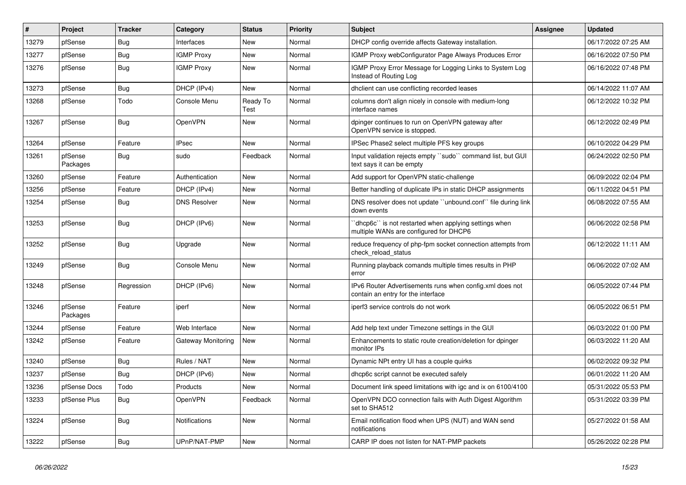| $\vert$ # | Project             | <b>Tracker</b> | Category            | <b>Status</b>    | <b>Priority</b> | <b>Subject</b>                                                                                  | <b>Assignee</b> | <b>Updated</b>      |
|-----------|---------------------|----------------|---------------------|------------------|-----------------|-------------------------------------------------------------------------------------------------|-----------------|---------------------|
| 13279     | pfSense             | Bug            | Interfaces          | <b>New</b>       | Normal          | DHCP config override affects Gateway installation.                                              |                 | 06/17/2022 07:25 AM |
| 13277     | pfSense             | <b>Bug</b>     | <b>IGMP Proxy</b>   | New              | Normal          | IGMP Proxy webConfigurator Page Always Produces Error                                           |                 | 06/16/2022 07:50 PM |
| 13276     | pfSense             | Bug            | <b>IGMP Proxy</b>   | New              | Normal          | IGMP Proxy Error Message for Logging Links to System Log<br>Instead of Routing Log              |                 | 06/16/2022 07:48 PM |
| 13273     | pfSense             | <b>Bug</b>     | DHCP (IPv4)         | New              | Normal          | dhclient can use conflicting recorded leases                                                    |                 | 06/14/2022 11:07 AM |
| 13268     | pfSense             | Todo           | Console Menu        | Ready To<br>Test | Normal          | columns don't align nicely in console with medium-long<br>interface names                       |                 | 06/12/2022 10:32 PM |
| 13267     | pfSense             | <b>Bug</b>     | OpenVPN             | <b>New</b>       | Normal          | dpinger continues to run on OpenVPN gateway after<br>OpenVPN service is stopped.                |                 | 06/12/2022 02:49 PM |
| 13264     | pfSense             | Feature        | <b>IPsec</b>        | <b>New</b>       | Normal          | IPSec Phase2 select multiple PFS key groups                                                     |                 | 06/10/2022 04:29 PM |
| 13261     | pfSense<br>Packages | Bug            | sudo                | Feedback         | Normal          | Input validation rejects empty "sudo" command list, but GUI<br>text says it can be empty        |                 | 06/24/2022 02:50 PM |
| 13260     | pfSense             | Feature        | Authentication      | New              | Normal          | Add support for OpenVPN static-challenge                                                        |                 | 06/09/2022 02:04 PM |
| 13256     | pfSense             | Feature        | DHCP (IPv4)         | New              | Normal          | Better handling of duplicate IPs in static DHCP assignments                                     |                 | 06/11/2022 04:51 PM |
| 13254     | pfSense             | <b>Bug</b>     | <b>DNS Resolver</b> | New              | Normal          | DNS resolver does not update "unbound.conf" file during link<br>down events                     |                 | 06/08/2022 07:55 AM |
| 13253     | pfSense             | Bug            | DHCP (IPv6)         | New              | Normal          | 'dhcp6c' is not restarted when applying settings when<br>multiple WANs are configured for DHCP6 |                 | 06/06/2022 02:58 PM |
| 13252     | pfSense             | Bug            | Upgrade             | New              | Normal          | reduce frequency of php-fpm socket connection attempts from<br>check reload status              |                 | 06/12/2022 11:11 AM |
| 13249     | pfSense             | <b>Bug</b>     | Console Menu        | New              | Normal          | Running playback comands multiple times results in PHP<br>error                                 |                 | 06/06/2022 07:02 AM |
| 13248     | pfSense             | Regression     | DHCP (IPv6)         | New              | Normal          | IPv6 Router Advertisements runs when config.xml does not<br>contain an entry for the interface  |                 | 06/05/2022 07:44 PM |
| 13246     | pfSense<br>Packages | Feature        | iperf               | New              | Normal          | iperf3 service controls do not work                                                             |                 | 06/05/2022 06:51 PM |
| 13244     | pfSense             | Feature        | Web Interface       | New              | Normal          | Add help text under Timezone settings in the GUI                                                |                 | 06/03/2022 01:00 PM |
| 13242     | pfSense             | Feature        | Gateway Monitoring  | New              | Normal          | Enhancements to static route creation/deletion for dpinger<br>monitor IPs                       |                 | 06/03/2022 11:20 AM |
| 13240     | pfSense             | <b>Bug</b>     | Rules / NAT         | <b>New</b>       | Normal          | Dynamic NPt entry UI has a couple quirks                                                        |                 | 06/02/2022 09:32 PM |
| 13237     | pfSense             | Bug            | DHCP (IPv6)         | <b>New</b>       | Normal          | dhcp6c script cannot be executed safely                                                         |                 | 06/01/2022 11:20 AM |
| 13236     | pfSense Docs        | Todo           | Products            | New              | Normal          | Document link speed limitations with igc and ix on 6100/4100                                    |                 | 05/31/2022 05:53 PM |
| 13233     | pfSense Plus        | <b>Bug</b>     | OpenVPN             | Feedback         | Normal          | OpenVPN DCO connection fails with Auth Digest Algorithm<br>set to SHA512                        |                 | 05/31/2022 03:39 PM |
| 13224     | pfSense             | <b>Bug</b>     | Notifications       | <b>New</b>       | Normal          | Email notification flood when UPS (NUT) and WAN send<br>notifications                           |                 | 05/27/2022 01:58 AM |
| 13222     | pfSense             | Bug            | UPnP/NAT-PMP        | New              | Normal          | CARP IP does not listen for NAT-PMP packets                                                     |                 | 05/26/2022 02:28 PM |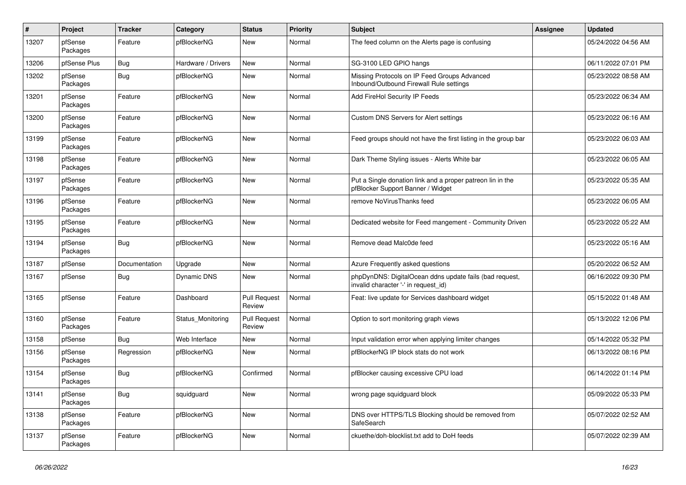| $\vert$ # | Project             | <b>Tracker</b> | Category           | <b>Status</b>                 | <b>Priority</b> | <b>Subject</b>                                                                                  | <b>Assignee</b> | <b>Updated</b>      |
|-----------|---------------------|----------------|--------------------|-------------------------------|-----------------|-------------------------------------------------------------------------------------------------|-----------------|---------------------|
| 13207     | pfSense<br>Packages | Feature        | pfBlockerNG        | <b>New</b>                    | Normal          | The feed column on the Alerts page is confusing                                                 |                 | 05/24/2022 04:56 AM |
| 13206     | pfSense Plus        | Bug            | Hardware / Drivers | <b>New</b>                    | Normal          | SG-3100 LED GPIO hangs                                                                          |                 | 06/11/2022 07:01 PM |
| 13202     | pfSense<br>Packages | <b>Bug</b>     | pfBlockerNG        | <b>New</b>                    | Normal          | Missing Protocols on IP Feed Groups Advanced<br>Inbound/Outbound Firewall Rule settings         |                 | 05/23/2022 08:58 AM |
| 13201     | pfSense<br>Packages | Feature        | pfBlockerNG        | <b>New</b>                    | Normal          | Add FireHol Security IP Feeds                                                                   |                 | 05/23/2022 06:34 AM |
| 13200     | pfSense<br>Packages | Feature        | pfBlockerNG        | New                           | Normal          | Custom DNS Servers for Alert settings                                                           |                 | 05/23/2022 06:16 AM |
| 13199     | pfSense<br>Packages | Feature        | pfBlockerNG        | <b>New</b>                    | Normal          | Feed groups should not have the first listing in the group bar                                  |                 | 05/23/2022 06:03 AM |
| 13198     | pfSense<br>Packages | Feature        | pfBlockerNG        | New                           | Normal          | Dark Theme Styling issues - Alerts White bar                                                    |                 | 05/23/2022 06:05 AM |
| 13197     | pfSense<br>Packages | Feature        | pfBlockerNG        | <b>New</b>                    | Normal          | Put a Single donation link and a proper patreon lin in the<br>pfBlocker Support Banner / Widget |                 | 05/23/2022 05:35 AM |
| 13196     | pfSense<br>Packages | Feature        | pfBlockerNG        | <b>New</b>                    | Normal          | remove NoVirusThanks feed                                                                       |                 | 05/23/2022 06:05 AM |
| 13195     | pfSense<br>Packages | Feature        | pfBlockerNG        | New                           | Normal          | Dedicated website for Feed mangement - Community Driven                                         |                 | 05/23/2022 05:22 AM |
| 13194     | pfSense<br>Packages | <b>Bug</b>     | pfBlockerNG        | <b>New</b>                    | Normal          | Remove dead Malc0de feed                                                                        |                 | 05/23/2022 05:16 AM |
| 13187     | pfSense             | Documentation  | Upgrade            | New                           | Normal          | Azure Frequently asked questions                                                                |                 | 05/20/2022 06:52 AM |
| 13167     | pfSense             | Bug            | <b>Dynamic DNS</b> | <b>New</b>                    | Normal          | phpDynDNS: DigitalOcean ddns update fails (bad request,<br>invalid character '-' in request_id) |                 | 06/16/2022 09:30 PM |
| 13165     | pfSense             | Feature        | Dashboard          | <b>Pull Request</b><br>Review | Normal          | Feat: live update for Services dashboard widget                                                 |                 | 05/15/2022 01:48 AM |
| 13160     | pfSense<br>Packages | Feature        | Status_Monitoring  | <b>Pull Request</b><br>Review | Normal          | Option to sort monitoring graph views                                                           |                 | 05/13/2022 12:06 PM |
| 13158     | pfSense             | Bug            | Web Interface      | <b>New</b>                    | Normal          | Input validation error when applying limiter changes                                            |                 | 05/14/2022 05:32 PM |
| 13156     | pfSense<br>Packages | Regression     | pfBlockerNG        | <b>New</b>                    | Normal          | pfBlockerNG IP block stats do not work                                                          |                 | 06/13/2022 08:16 PM |
| 13154     | pfSense<br>Packages | <b>Bug</b>     | pfBlockerNG        | Confirmed                     | Normal          | pfBlocker causing excessive CPU load                                                            |                 | 06/14/2022 01:14 PM |
| 13141     | pfSense<br>Packages | <b>Bug</b>     | squidguard         | <b>New</b>                    | Normal          | wrong page squidguard block                                                                     |                 | 05/09/2022 05:33 PM |
| 13138     | pfSense<br>Packages | Feature        | pfBlockerNG        | <b>New</b>                    | Normal          | DNS over HTTPS/TLS Blocking should be removed from<br>SafeSearch                                |                 | 05/07/2022 02:52 AM |
| 13137     | pfSense<br>Packages | Feature        | pfBlockerNG        | New                           | Normal          | ckuethe/doh-blocklist.txt add to DoH feeds                                                      |                 | 05/07/2022 02:39 AM |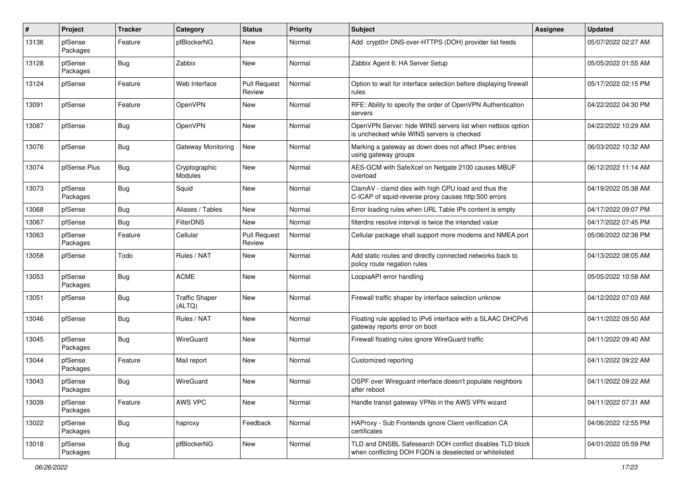| #     | Project             | <b>Tracker</b> | Category                        | <b>Status</b>                 | Priority | <b>Subject</b>                                                                                                     | Assignee | <b>Updated</b>      |
|-------|---------------------|----------------|---------------------------------|-------------------------------|----------|--------------------------------------------------------------------------------------------------------------------|----------|---------------------|
| 13136 | pfSense<br>Packages | Feature        | pfBlockerNG                     | New                           | Normal   | Add crypt0rr DNS-over-HTTPS (DOH) provider list feeds                                                              |          | 05/07/2022 02:27 AM |
| 13128 | pfSense<br>Packages | Bug            | Zabbix                          | New                           | Normal   | Zabbix Agent 6: HA Server Setup                                                                                    |          | 05/05/2022 01:55 AM |
| 13124 | pfSense             | Feature        | Web Interface                   | <b>Pull Request</b><br>Review | Normal   | Option to wait for interface selection before displaying firewall<br>rules                                         |          | 05/17/2022 02:15 PM |
| 13091 | pfSense             | Feature        | OpenVPN                         | New                           | Normal   | RFE: Ability to specify the order of OpenVPN Authentication<br>servers                                             |          | 04/22/2022 04:30 PM |
| 13087 | pfSense             | Bug            | OpenVPN                         | New                           | Normal   | OpenVPN Server: hide WINS servers list when netbios option<br>is unchecked while WINS servers is checked           |          | 04/22/2022 10:29 AM |
| 13076 | pfSense             | Bug            | <b>Gateway Monitoring</b>       | <b>New</b>                    | Normal   | Marking a gateway as down does not affect IPsec entries<br>using gateway groups                                    |          | 06/03/2022 10:32 AM |
| 13074 | pfSense Plus        | Bug            | Cryptographic<br>Modules        | New                           | Normal   | AES-GCM with SafeXcel on Netgate 2100 causes MBUF<br>overload                                                      |          | 06/12/2022 11:14 AM |
| 13073 | pfSense<br>Packages | Bug            | Squid                           | New                           | Normal   | ClamAV - clamd dies with high CPU load and thus the<br>C-ICAP of squid-reverse proxy causes http:500 errors        |          | 04/19/2022 05:38 AM |
| 13068 | pfSense             | Bug            | Aliases / Tables                | New                           | Normal   | Error loading rules when URL Table IPs content is empty                                                            |          | 04/17/2022 09:07 PM |
| 13067 | pfSense             | Bug            | FilterDNS                       | New                           | Normal   | filterdns resolve interval is twice the intended value                                                             |          | 04/17/2022 07:45 PM |
| 13063 | pfSense<br>Packages | Feature        | Cellular                        | <b>Pull Request</b><br>Review | Normal   | Cellular package shall support more modems and NMEA port                                                           |          | 05/06/2022 02:38 PM |
| 13058 | pfSense             | Todo           | Rules / NAT                     | New                           | Normal   | Add static routes and directly connected networks back to<br>policy route negation rules                           |          | 04/13/2022 08:05 AM |
| 13053 | pfSense<br>Packages | Bug            | <b>ACME</b>                     | New                           | Normal   | LoopiaAPI error handling                                                                                           |          | 05/05/2022 10:58 AM |
| 13051 | pfSense             | Bug            | <b>Traffic Shaper</b><br>(ALTQ) | New                           | Normal   | Firewall traffic shaper by interface selection unknow                                                              |          | 04/12/2022 07:03 AM |
| 13046 | pfSense             | <b>Bug</b>     | Rules / NAT                     | New                           | Normal   | Floating rule applied to IPv6 interface with a SLAAC DHCPv6<br>gateway reports error on boot                       |          | 04/11/2022 09:50 AM |
| 13045 | pfSense<br>Packages | Bug            | WireGuard                       | New                           | Normal   | Firewall floating rules ignore WireGuard traffic                                                                   |          | 04/11/2022 09:40 AM |
| 13044 | pfSense<br>Packages | Feature        | Mail report                     | New                           | Normal   | Customized reporting                                                                                               |          | 04/11/2022 09:22 AM |
| 13043 | pfSense<br>Packages | Bug            | WireGuard                       | New                           | Normal   | OSPF over Wirequard interface doesn't populate neighbors<br>after reboot                                           |          | 04/11/2022 09:22 AM |
| 13039 | pfSense<br>Packages | Feature        | AWS VPC                         | New                           | Normal   | Handle transit gateway VPNs in the AWS VPN wizard                                                                  |          | 04/11/2022 07:31 AM |
| 13022 | pfSense<br>Packages | Bug            | haproxy                         | Feedback                      | Normal   | HAProxy - Sub Frontends ignore Client verification CA<br>certificates                                              |          | 04/06/2022 12:55 PM |
| 13018 | pfSense<br>Packages | Bug            | pfBlockerNG                     | New                           | Normal   | TLD and DNSBL Safesearch DOH conflict disables TLD block<br>when conflicting DOH FQDN is deselected or whitelisted |          | 04/01/2022 05:59 PM |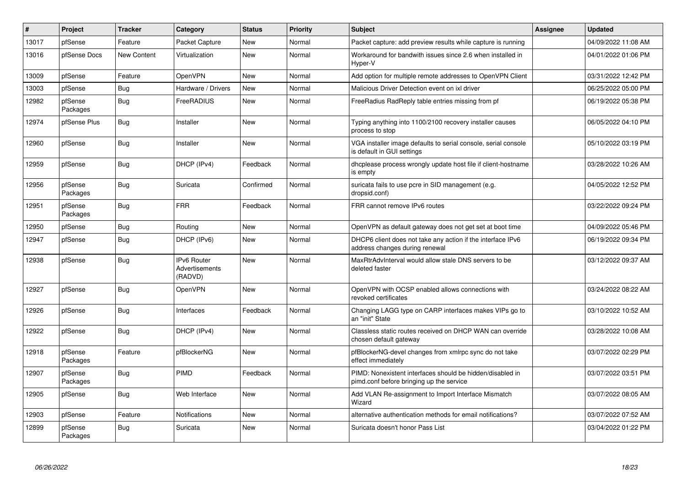| #     | Project             | <b>Tracker</b> | Category                                        | <b>Status</b> | <b>Priority</b> | <b>Subject</b>                                                                                        | Assignee | <b>Updated</b>      |
|-------|---------------------|----------------|-------------------------------------------------|---------------|-----------------|-------------------------------------------------------------------------------------------------------|----------|---------------------|
| 13017 | pfSense             | Feature        | Packet Capture                                  | <b>New</b>    | Normal          | Packet capture: add preview results while capture is running                                          |          | 04/09/2022 11:08 AM |
| 13016 | pfSense Docs        | New Content    | Virtualization                                  | New           | Normal          | Workaround for bandwith issues since 2.6 when installed in<br>Hyper-V                                 |          | 04/01/2022 01:06 PM |
| 13009 | pfSense             | Feature        | OpenVPN                                         | <b>New</b>    | Normal          | Add option for multiple remote addresses to OpenVPN Client                                            |          | 03/31/2022 12:42 PM |
| 13003 | pfSense             | <b>Bug</b>     | Hardware / Drivers                              | <b>New</b>    | Normal          | Malicious Driver Detection event on ixl driver                                                        |          | 06/25/2022 05:00 PM |
| 12982 | pfSense<br>Packages | Bug            | FreeRADIUS                                      | <b>New</b>    | Normal          | FreeRadius RadReply table entries missing from pf                                                     |          | 06/19/2022 05:38 PM |
| 12974 | pfSense Plus        | Bug            | Installer                                       | <b>New</b>    | Normal          | Typing anything into 1100/2100 recovery installer causes<br>process to stop                           |          | 06/05/2022 04:10 PM |
| 12960 | pfSense             | <b>Bug</b>     | Installer                                       | <b>New</b>    | Normal          | VGA installer image defaults to serial console, serial console<br>is default in GUI settings          |          | 05/10/2022 03:19 PM |
| 12959 | pfSense             | <b>Bug</b>     | DHCP (IPv4)                                     | Feedback      | Normal          | dhcplease process wrongly update host file if client-hostname<br>is empty                             |          | 03/28/2022 10:26 AM |
| 12956 | pfSense<br>Packages | <b>Bug</b>     | Suricata                                        | Confirmed     | Normal          | suricata fails to use pcre in SID management (e.g.<br>dropsid.conf)                                   |          | 04/05/2022 12:52 PM |
| 12951 | pfSense<br>Packages | Bug            | <b>FRR</b>                                      | Feedback      | Normal          | FRR cannot remove IPv6 routes                                                                         |          | 03/22/2022 09:24 PM |
| 12950 | pfSense             | Bug            | Routing                                         | New           | Normal          | OpenVPN as default gateway does not get set at boot time                                              |          | 04/09/2022 05:46 PM |
| 12947 | pfSense             | <b>Bug</b>     | DHCP (IPv6)                                     | New           | Normal          | DHCP6 client does not take any action if the interface IPv6<br>address changes during renewal         |          | 06/19/2022 09:34 PM |
| 12938 | pfSense             | <b>Bug</b>     | <b>IPv6 Router</b><br>Advertisements<br>(RADVD) | <b>New</b>    | Normal          | MaxRtrAdvInterval would allow stale DNS servers to be<br>deleted faster                               |          | 03/12/2022 09:37 AM |
| 12927 | pfSense             | <b>Bug</b>     | OpenVPN                                         | <b>New</b>    | Normal          | OpenVPN with OCSP enabled allows connections with<br>revoked certificates                             |          | 03/24/2022 08:22 AM |
| 12926 | pfSense             | <b>Bug</b>     | Interfaces                                      | Feedback      | Normal          | Changing LAGG type on CARP interfaces makes VIPs go to<br>an "init" State                             |          | 03/10/2022 10:52 AM |
| 12922 | pfSense             | Bug            | DHCP (IPv4)                                     | <b>New</b>    | Normal          | Classless static routes received on DHCP WAN can override<br>chosen default gateway                   |          | 03/28/2022 10:08 AM |
| 12918 | pfSense<br>Packages | Feature        | pfBlockerNG                                     | <b>New</b>    | Normal          | pfBlockerNG-devel changes from xmlrpc sync do not take<br>effect immediately                          |          | 03/07/2022 02:29 PM |
| 12907 | pfSense<br>Packages | <b>Bug</b>     | PIMD                                            | Feedback      | Normal          | PIMD: Nonexistent interfaces should be hidden/disabled in<br>pimd.conf before bringing up the service |          | 03/07/2022 03:51 PM |
| 12905 | pfSense             | <b>Bug</b>     | Web Interface                                   | <b>New</b>    | Normal          | Add VLAN Re-assignment to Import Interface Mismatch<br>Wizard                                         |          | 03/07/2022 08:05 AM |
| 12903 | pfSense             | Feature        | <b>Notifications</b>                            | <b>New</b>    | Normal          | alternative authentication methods for email notifications?                                           |          | 03/07/2022 07:52 AM |
| 12899 | pfSense<br>Packages | <b>Bug</b>     | Suricata                                        | <b>New</b>    | Normal          | Suricata doesn't honor Pass List                                                                      |          | 03/04/2022 01:22 PM |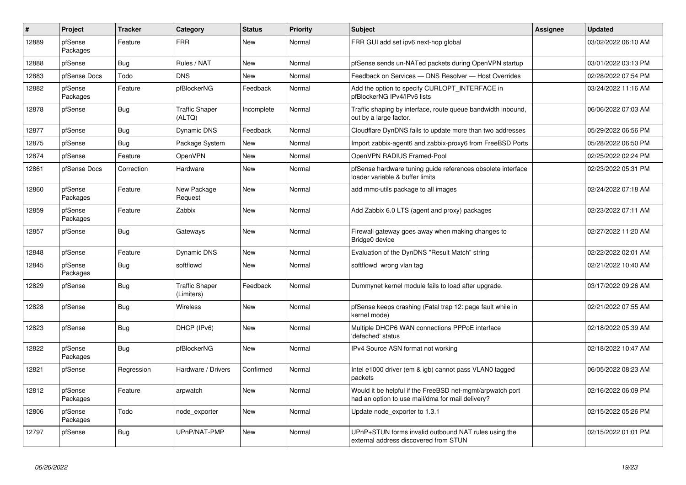| $\#$  | Project             | <b>Tracker</b> | Category                            | <b>Status</b> | <b>Priority</b> | <b>Subject</b>                                                                                                | Assignee | <b>Updated</b>      |
|-------|---------------------|----------------|-------------------------------------|---------------|-----------------|---------------------------------------------------------------------------------------------------------------|----------|---------------------|
| 12889 | pfSense<br>Packages | Feature        | <b>FRR</b>                          | New           | Normal          | FRR GUI add set ipv6 next-hop global                                                                          |          | 03/02/2022 06:10 AM |
| 12888 | pfSense             | <b>Bug</b>     | Rules / NAT                         | New           | Normal          | pfSense sends un-NATed packets during OpenVPN startup                                                         |          | 03/01/2022 03:13 PM |
| 12883 | pfSense Docs        | Todo           | <b>DNS</b>                          | <b>New</b>    | Normal          | Feedback on Services - DNS Resolver - Host Overrides                                                          |          | 02/28/2022 07:54 PM |
| 12882 | pfSense<br>Packages | Feature        | pfBlockerNG                         | Feedback      | Normal          | Add the option to specify CURLOPT INTERFACE in<br>pfBlockerNG IPv4/IPv6 lists                                 |          | 03/24/2022 11:16 AM |
| 12878 | pfSense             | Bug            | <b>Traffic Shaper</b><br>(ALTQ)     | Incomplete    | Normal          | Traffic shaping by interface, route queue bandwidth inbound,<br>out by a large factor.                        |          | 06/06/2022 07:03 AM |
| 12877 | pfSense             | <b>Bug</b>     | Dynamic DNS                         | Feedback      | Normal          | Cloudflare DynDNS fails to update more than two addresses                                                     |          | 05/29/2022 06:56 PM |
| 12875 | pfSense             | Bug            | Package System                      | New           | Normal          | Import zabbix-agent6 and zabbix-proxy6 from FreeBSD Ports                                                     |          | 05/28/2022 06:50 PM |
| 12874 | pfSense             | Feature        | OpenVPN                             | <b>New</b>    | Normal          | OpenVPN RADIUS Framed-Pool                                                                                    |          | 02/25/2022 02:24 PM |
| 12861 | pfSense Docs        | Correction     | Hardware                            | <b>New</b>    | Normal          | pfSense hardware tuning guide references obsolete interface<br>loader variable & buffer limits                |          | 02/23/2022 05:31 PM |
| 12860 | pfSense<br>Packages | Feature        | New Package<br>Request              | <b>New</b>    | Normal          | add mmc-utils package to all images                                                                           |          | 02/24/2022 07:18 AM |
| 12859 | pfSense<br>Packages | Feature        | Zabbix                              | <b>New</b>    | Normal          | Add Zabbix 6.0 LTS (agent and proxy) packages                                                                 |          | 02/23/2022 07:11 AM |
| 12857 | pfSense             | Bug            | Gateways                            | <b>New</b>    | Normal          | Firewall gateway goes away when making changes to<br>Bridge0 device                                           |          | 02/27/2022 11:20 AM |
| 12848 | pfSense             | Feature        | Dynamic DNS                         | <b>New</b>    | Normal          | Evaluation of the DynDNS "Result Match" string                                                                |          | 02/22/2022 02:01 AM |
| 12845 | pfSense<br>Packages | Bug            | softflowd                           | New           | Normal          | softflowd wrong vlan tag                                                                                      |          | 02/21/2022 10:40 AM |
| 12829 | pfSense             | <b>Bug</b>     | <b>Traffic Shaper</b><br>(Limiters) | Feedback      | Normal          | Dummynet kernel module fails to load after upgrade.                                                           |          | 03/17/2022 09:26 AM |
| 12828 | pfSense             | Bug            | Wireless                            | <b>New</b>    | Normal          | pfSense keeps crashing (Fatal trap 12: page fault while in<br>kernel mode)                                    |          | 02/21/2022 07:55 AM |
| 12823 | pfSense             | Bug            | DHCP (IPv6)                         | New           | Normal          | Multiple DHCP6 WAN connections PPPoE interface<br>'defached' status                                           |          | 02/18/2022 05:39 AM |
| 12822 | pfSense<br>Packages | <b>Bug</b>     | pfBlockerNG                         | <b>New</b>    | Normal          | IPv4 Source ASN format not working                                                                            |          | 02/18/2022 10:47 AM |
| 12821 | pfSense             | Regression     | Hardware / Drivers                  | Confirmed     | Normal          | Intel e1000 driver (em & igb) cannot pass VLAN0 tagged<br>packets                                             |          | 06/05/2022 08:23 AM |
| 12812 | pfSense<br>Packages | Feature        | arpwatch                            | New           | Normal          | Would it be helpful if the FreeBSD net-mgmt/arpwatch port<br>had an option to use mail/dma for mail delivery? |          | 02/16/2022 06:09 PM |
| 12806 | pfSense<br>Packages | Todo           | node exporter                       | <b>New</b>    | Normal          | Update node exporter to 1.3.1                                                                                 |          | 02/15/2022 05:26 PM |
| 12797 | pfSense             | Bug            | UPnP/NAT-PMP                        | <b>New</b>    | Normal          | UPnP+STUN forms invalid outbound NAT rules using the<br>external address discovered from STUN                 |          | 02/15/2022 01:01 PM |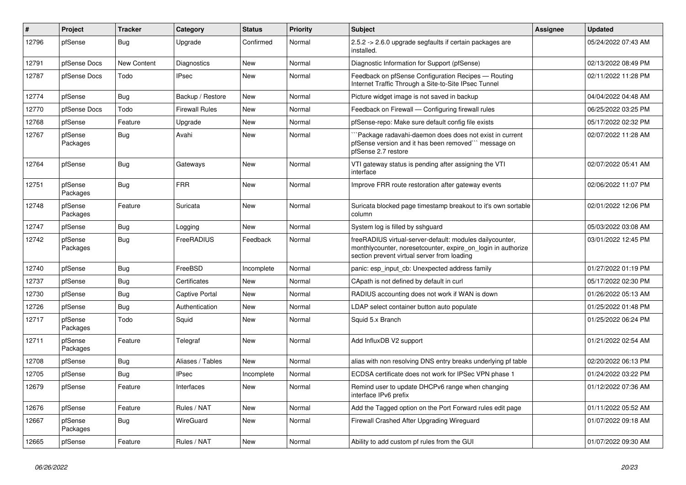| ∦     | Project             | <b>Tracker</b> | Category              | <b>Status</b> | <b>Priority</b> | <b>Subject</b>                                                                                                                                                          | Assignee | <b>Updated</b>      |
|-------|---------------------|----------------|-----------------------|---------------|-----------------|-------------------------------------------------------------------------------------------------------------------------------------------------------------------------|----------|---------------------|
| 12796 | pfSense             | <b>Bug</b>     | Upgrade               | Confirmed     | Normal          | 2.5.2 -> 2.6.0 upgrade segfaults if certain packages are<br>installed.                                                                                                  |          | 05/24/2022 07:43 AM |
| 12791 | pfSense Docs        | New Content    | Diagnostics           | New           | Normal          | Diagnostic Information for Support (pfSense)                                                                                                                            |          | 02/13/2022 08:49 PM |
| 12787 | pfSense Docs        | Todo           | <b>IPsec</b>          | New           | Normal          | Feedback on pfSense Configuration Recipes - Routing<br>Internet Traffic Through a Site-to-Site IPsec Tunnel                                                             |          | 02/11/2022 11:28 PM |
| 12774 | pfSense             | <b>Bug</b>     | Backup / Restore      | <b>New</b>    | Normal          | Picture widget image is not saved in backup                                                                                                                             |          | 04/04/2022 04:48 AM |
| 12770 | pfSense Docs        | Todo           | <b>Firewall Rules</b> | New           | Normal          | Feedback on Firewall - Configuring firewall rules                                                                                                                       |          | 06/25/2022 03:25 PM |
| 12768 | pfSense             | Feature        | Upgrade               | New           | Normal          | pfSense-repo: Make sure default config file exists                                                                                                                      |          | 05/17/2022 02:32 PM |
| 12767 | pfSense<br>Packages | <b>Bug</b>     | Avahi                 | New           | Normal          | Package radavahi-daemon does does not exist in current<br>pfSense version and it has been removed``` message on<br>pfSense 2.7 restore                                  |          | 02/07/2022 11:28 AM |
| 12764 | pfSense             | <b>Bug</b>     | Gateways              | <b>New</b>    | Normal          | VTI gateway status is pending after assigning the VTI<br>interface                                                                                                      |          | 02/07/2022 05:41 AM |
| 12751 | pfSense<br>Packages | <b>Bug</b>     | <b>FRR</b>            | <b>New</b>    | Normal          | Improve FRR route restoration after gateway events                                                                                                                      |          | 02/06/2022 11:07 PM |
| 12748 | pfSense<br>Packages | Feature        | Suricata              | New           | Normal          | Suricata blocked page timestamp breakout to it's own sortable<br>column                                                                                                 |          | 02/01/2022 12:06 PM |
| 12747 | pfSense             | <b>Bug</b>     | Logging               | <b>New</b>    | Normal          | System log is filled by sshguard                                                                                                                                        |          | 05/03/2022 03:08 AM |
| 12742 | pfSense<br>Packages | Bug            | FreeRADIUS            | Feedback      | Normal          | freeRADIUS virtual-server-default: modules dailycounter,<br>monthlycounter, noresetcounter, expire on login in authorize<br>section prevent virtual server from loading |          | 03/01/2022 12:45 PM |
| 12740 | pfSense             | <b>Bug</b>     | FreeBSD               | Incomplete    | Normal          | panic: esp input cb: Unexpected address family                                                                                                                          |          | 01/27/2022 01:19 PM |
| 12737 | pfSense             | <b>Bug</b>     | Certificates          | <b>New</b>    | Normal          | CApath is not defined by default in curl                                                                                                                                |          | 05/17/2022 02:30 PM |
| 12730 | pfSense             | Bug            | <b>Captive Portal</b> | New           | Normal          | RADIUS accounting does not work if WAN is down                                                                                                                          |          | 01/26/2022 05:13 AM |
| 12726 | pfSense             | Bug            | Authentication        | New           | Normal          | LDAP select container button auto populate                                                                                                                              |          | 01/25/2022 01:48 PM |
| 12717 | pfSense<br>Packages | Todo           | Squid                 | New           | Normal          | Squid 5.x Branch                                                                                                                                                        |          | 01/25/2022 06:24 PM |
| 12711 | pfSense<br>Packages | Feature        | Telegraf              | <b>New</b>    | Normal          | Add InfluxDB V2 support                                                                                                                                                 |          | 01/21/2022 02:54 AM |
| 12708 | pfSense             | Bug            | Aliases / Tables      | <b>New</b>    | Normal          | alias with non resolving DNS entry breaks underlying pf table                                                                                                           |          | 02/20/2022 06:13 PM |
| 12705 | pfSense             | Bug            | <b>IPsec</b>          | Incomplete    | Normal          | ECDSA certificate does not work for IPSec VPN phase 1                                                                                                                   |          | 01/24/2022 03:22 PM |
| 12679 | pfSense             | Feature        | Interfaces            | New           | Normal          | Remind user to update DHCPv6 range when changing<br>interface IPv6 prefix                                                                                               |          | 01/12/2022 07:36 AM |
| 12676 | pfSense             | Feature        | Rules / NAT           | <b>New</b>    | Normal          | Add the Tagged option on the Port Forward rules edit page                                                                                                               |          | 01/11/2022 05:52 AM |
| 12667 | pfSense<br>Packages | <b>Bug</b>     | WireGuard             | New           | Normal          | Firewall Crashed After Upgrading Wireguard                                                                                                                              |          | 01/07/2022 09:18 AM |
| 12665 | pfSense             | Feature        | Rules / NAT           | New           | Normal          | Ability to add custom pf rules from the GUI                                                                                                                             |          | 01/07/2022 09:30 AM |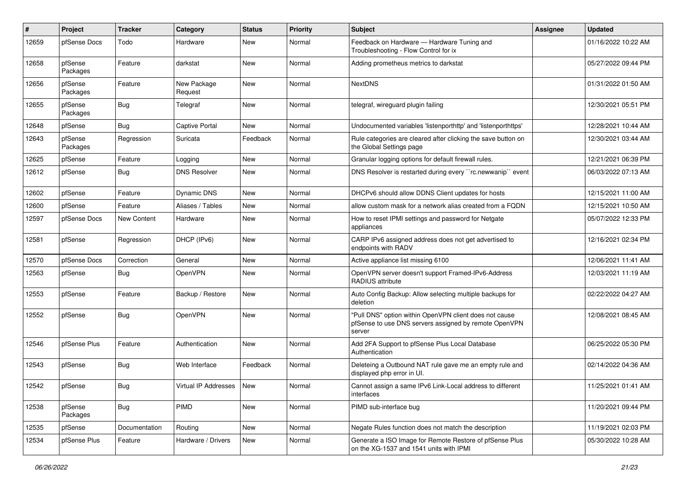| #     | Project             | <b>Tracker</b> | Category               | <b>Status</b> | <b>Priority</b> | Subject                                                                                                                   | Assignee | <b>Updated</b>      |
|-------|---------------------|----------------|------------------------|---------------|-----------------|---------------------------------------------------------------------------------------------------------------------------|----------|---------------------|
| 12659 | pfSense Docs        | Todo           | Hardware               | New           | Normal          | Feedback on Hardware - Hardware Tuning and<br>Troubleshooting - Flow Control for ix                                       |          | 01/16/2022 10:22 AM |
| 12658 | pfSense<br>Packages | Feature        | darkstat               | New           | Normal          | Adding prometheus metrics to darkstat                                                                                     |          | 05/27/2022 09:44 PM |
| 12656 | pfSense<br>Packages | Feature        | New Package<br>Request | New           | Normal          | <b>NextDNS</b>                                                                                                            |          | 01/31/2022 01:50 AM |
| 12655 | pfSense<br>Packages | Bug            | Telegraf               | New           | Normal          | telegraf, wireguard plugin failing                                                                                        |          | 12/30/2021 05:51 PM |
| 12648 | pfSense             | Bug            | <b>Captive Portal</b>  | <b>New</b>    | Normal          | Undocumented variables 'listenporthttp' and 'listenporthttps'                                                             |          | 12/28/2021 10:44 AM |
| 12643 | pfSense<br>Packages | Regression     | Suricata               | Feedback      | Normal          | Rule categories are cleared after clicking the save button on<br>the Global Settings page                                 |          | 12/30/2021 03:44 AM |
| 12625 | pfSense             | Feature        | Logging                | <b>New</b>    | Normal          | Granular logging options for default firewall rules.                                                                      |          | 12/21/2021 06:39 PM |
| 12612 | pfSense             | <b>Bug</b>     | <b>DNS Resolver</b>    | New           | Normal          | DNS Resolver is restarted during every "rc.newwanip" event                                                                |          | 06/03/2022 07:13 AM |
| 12602 | pfSense             | Feature        | Dynamic DNS            | New           | Normal          | DHCPv6 should allow DDNS Client updates for hosts                                                                         |          | 12/15/2021 11:00 AM |
| 12600 | pfSense             | Feature        | Aliases / Tables       | New           | Normal          | allow custom mask for a network alias created from a FQDN                                                                 |          | 12/15/2021 10:50 AM |
| 12597 | pfSense Docs        | New Content    | Hardware               | New           | Normal          | How to reset IPMI settings and password for Netgate<br>appliances                                                         |          | 05/07/2022 12:33 PM |
| 12581 | pfSense             | Regression     | DHCP (IPv6)            | New           | Normal          | CARP IPv6 assigned address does not get advertised to<br>endpoints with RADV                                              |          | 12/16/2021 02:34 PM |
| 12570 | pfSense Docs        | Correction     | General                | New           | Normal          | Active appliance list missing 6100                                                                                        |          | 12/06/2021 11:41 AM |
| 12563 | pfSense             | Bug            | OpenVPN                | New           | Normal          | OpenVPN server doesn't support Framed-IPv6-Address<br>RADIUS attribute                                                    |          | 12/03/2021 11:19 AM |
| 12553 | pfSense             | Feature        | Backup / Restore       | New           | Normal          | Auto Config Backup: Allow selecting multiple backups for<br>deletion                                                      |          | 02/22/2022 04:27 AM |
| 12552 | pfSense             | Bug            | OpenVPN                | New           | Normal          | "Pull DNS" option within OpenVPN client does not cause<br>pfSense to use DNS servers assigned by remote OpenVPN<br>server |          | 12/08/2021 08:45 AM |
| 12546 | pfSense Plus        | Feature        | Authentication         | New           | Normal          | Add 2FA Support to pfSense Plus Local Database<br>Authentication                                                          |          | 06/25/2022 05:30 PM |
| 12543 | pfSense             | Bug            | Web Interface          | Feedback      | Normal          | Deleteing a Outbound NAT rule gave me an empty rule and<br>displayed php error in UI.                                     |          | 02/14/2022 04:36 AM |
| 12542 | pfSense             | Bug            | Virtual IP Addresses   | New           | Normal          | Cannot assign a same IPv6 Link-Local address to different<br>interfaces                                                   |          | 11/25/2021 01:41 AM |
| 12538 | pfSense<br>Packages | <b>Bug</b>     | PIMD                   | New           | Normal          | PIMD sub-interface bug                                                                                                    |          | 11/20/2021 09:44 PM |
| 12535 | pfSense             | Documentation  | Routing                | New           | Normal          | Negate Rules function does not match the description                                                                      |          | 11/19/2021 02:03 PM |
| 12534 | pfSense Plus        | Feature        | Hardware / Drivers     | New           | Normal          | Generate a ISO Image for Remote Restore of pfSense Plus<br>on the XG-1537 and 1541 units with IPMI                        |          | 05/30/2022 10:28 AM |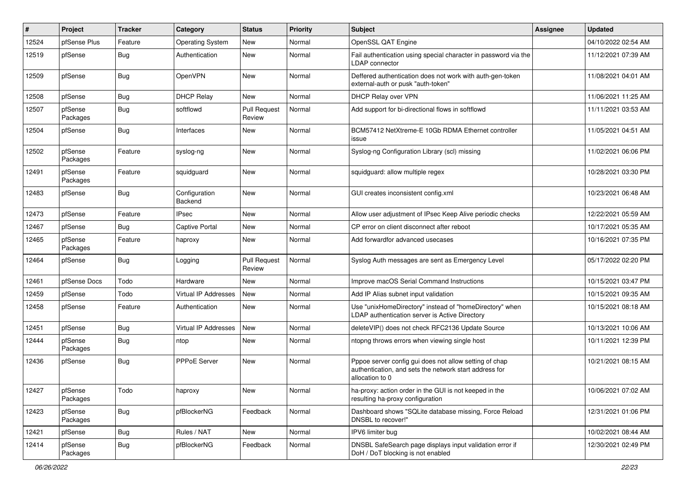| #     | Project             | <b>Tracker</b> | Category                    | <b>Status</b>                 | Priority | <b>Subject</b>                                                                                                                      | Assignee | <b>Updated</b>      |
|-------|---------------------|----------------|-----------------------------|-------------------------------|----------|-------------------------------------------------------------------------------------------------------------------------------------|----------|---------------------|
| 12524 | pfSense Plus        | Feature        | <b>Operating System</b>     | New                           | Normal   | OpenSSL QAT Engine                                                                                                                  |          | 04/10/2022 02:54 AM |
| 12519 | pfSense             | <b>Bug</b>     | Authentication              | New                           | Normal   | Fail authentication using special character in password via the<br><b>LDAP</b> connector                                            |          | 11/12/2021 07:39 AM |
| 12509 | pfSense             | <b>Bug</b>     | OpenVPN                     | New                           | Normal   | Deffered authentication does not work with auth-gen-token<br>external-auth or pusk "auth-token"                                     |          | 11/08/2021 04:01 AM |
| 12508 | pfSense             | Bug            | <b>DHCP Relay</b>           | New                           | Normal   | DHCP Relay over VPN                                                                                                                 |          | 11/06/2021 11:25 AM |
| 12507 | pfSense<br>Packages | <b>Bug</b>     | softflowd                   | <b>Pull Request</b><br>Review | Normal   | Add support for bi-directional flows in softflowd                                                                                   |          | 11/11/2021 03:53 AM |
| 12504 | pfSense             | <b>Bug</b>     | Interfaces                  | New                           | Normal   | BCM57412 NetXtreme-E 10Gb RDMA Ethernet controller<br>issue                                                                         |          | 11/05/2021 04:51 AM |
| 12502 | pfSense<br>Packages | Feature        | syslog-ng                   | <b>New</b>                    | Normal   | Syslog-ng Configuration Library (scl) missing                                                                                       |          | 11/02/2021 06:06 PM |
| 12491 | pfSense<br>Packages | Feature        | squidguard                  | New                           | Normal   | squidguard: allow multiple regex                                                                                                    |          | 10/28/2021 03:30 PM |
| 12483 | pfSense             | Bug            | Configuration<br>Backend    | <b>New</b>                    | Normal   | GUI creates inconsistent config.xml                                                                                                 |          | 10/23/2021 06:48 AM |
| 12473 | pfSense             | Feature        | <b>IPsec</b>                | New                           | Normal   | Allow user adjustment of IPsec Keep Alive periodic checks                                                                           |          | 12/22/2021 05:59 AM |
| 12467 | pfSense             | <b>Bug</b>     | <b>Captive Portal</b>       | New                           | Normal   | CP error on client disconnect after reboot                                                                                          |          | 10/17/2021 05:35 AM |
| 12465 | pfSense<br>Packages | Feature        | haproxy                     | New                           | Normal   | Add forwardfor advanced usecases                                                                                                    |          | 10/16/2021 07:35 PM |
| 12464 | pfSense             | <b>Bug</b>     | Logging                     | <b>Pull Request</b><br>Review | Normal   | Syslog Auth messages are sent as Emergency Level                                                                                    |          | 05/17/2022 02:20 PM |
| 12461 | pfSense Docs        | Todo           | Hardware                    | New                           | Normal   | Improve macOS Serial Command Instructions                                                                                           |          | 10/15/2021 03:47 PM |
| 12459 | pfSense             | Todo           | <b>Virtual IP Addresses</b> | <b>New</b>                    | Normal   | Add IP Alias subnet input validation                                                                                                |          | 10/15/2021 09:35 AM |
| 12458 | pfSense             | Feature        | Authentication              | New                           | Normal   | Use "unixHomeDirectory" instead of "homeDirectory" when<br>LDAP authentication server is Active Directory                           |          | 10/15/2021 08:18 AM |
| 12451 | pfSense             | <b>Bug</b>     | Virtual IP Addresses        | New                           | Normal   | deleteVIP() does not check RFC2136 Update Source                                                                                    |          | 10/13/2021 10:06 AM |
| 12444 | pfSense<br>Packages | <b>Bug</b>     | ntop                        | New                           | Normal   | ntopng throws errors when viewing single host                                                                                       |          | 10/11/2021 12:39 PM |
| 12436 | pfSense             | <b>Bug</b>     | PPPoE Server                | New                           | Normal   | Pppoe server config gui does not allow setting of chap<br>authentication, and sets the network start address for<br>allocation to 0 |          | 10/21/2021 08:15 AM |
| 12427 | pfSense<br>Packages | Todo           | haproxy                     | New                           | Normal   | ha-proxy: action order in the GUI is not keeped in the<br>resulting ha-proxy configuration                                          |          | 10/06/2021 07:02 AM |
| 12423 | pfSense<br>Packages | <b>Bug</b>     | pfBlockerNG                 | Feedback                      | Normal   | Dashboard shows "SQLite database missing, Force Reload<br>DNSBL to recover!"                                                        |          | 12/31/2021 01:06 PM |
| 12421 | pfSense             | <b>Bug</b>     | Rules / NAT                 | New                           | Normal   | IPV6 limiter bug                                                                                                                    |          | 10/02/2021 08:44 AM |
| 12414 | pfSense<br>Packages | <b>Bug</b>     | pfBlockerNG                 | Feedback                      | Normal   | DNSBL SafeSearch page displays input validation error if<br>DoH / DoT blocking is not enabled                                       |          | 12/30/2021 02:49 PM |